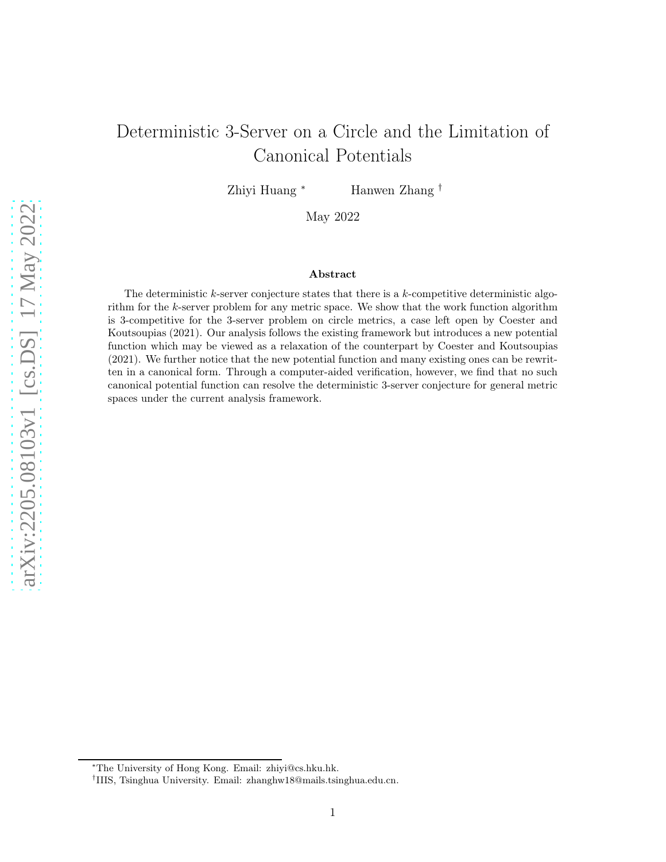# Deterministic 3-Server on a Circle and the Limitation of Canonical Potentials

Zhiyi Huang <sup>∗</sup> Hanwen Zhang †

May 2022

#### Abstract

The deterministic  $k$ -server conjecture states that there is a  $k$ -competitive deterministic algorithm for the k-server problem for any metric space. We show that the work function algorithm is 3-competitive for the 3-server problem on circle metrics, a case left open by Coester and Koutsoupias (2021). Our analysis follows the existing framework but introduces a new potential function which may be viewed as a relaxation of the counterpart by Coester and Koutsoupias (2021). We further notice that the new potential function and many existing ones can be rewritten in a canonical form. Through a computer-aided verification, however, we find that no such canonical potential function can resolve the deterministic 3-server conjecture for general metric spaces under the current analysis framework.

<sup>∗</sup>The University of Hong Kong. Email: zhiyi@cs.hku.hk.

<sup>†</sup> IIIS, Tsinghua University. Email: zhanghw18@mails.tsinghua.edu.cn.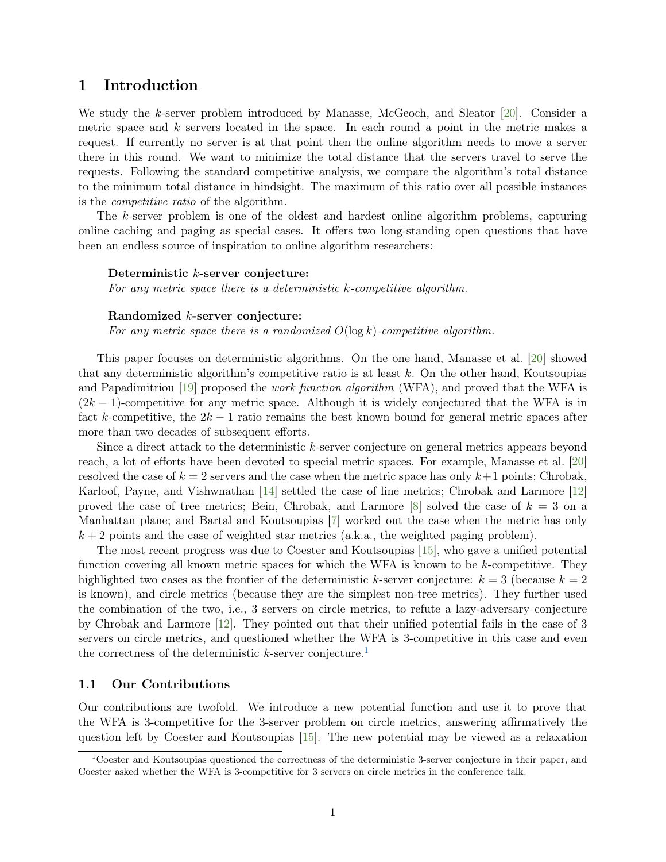## 1 Introduction

We study the k-server problem introduced by Manasse, McGeoch, and Sleator [\[20](#page-14-0)]. Consider a metric space and  $k$  servers located in the space. In each round a point in the metric makes a request. If currently no server is at that point then the online algorithm needs to move a server there in this round. We want to minimize the total distance that the servers travel to serve the requests. Following the standard competitive analysis, we compare the algorithm's total distance to the minimum total distance in hindsight. The maximum of this ratio over all possible instances is the competitive ratio of the algorithm.

The k-server problem is one of the oldest and hardest online algorithm problems, capturing online caching and paging as special cases. It offers two long-standing open questions that have been an endless source of inspiration to online algorithm researchers:

#### Deterministic k-server conjecture:

For any metric space there is a deterministic k-competitive algorithm.

## Randomized k-server conjecture:

For any metric space there is a randomized  $O(\log k)$ -competitive algorithm.

This paper focuses on deterministic algorithms. On the one hand, Manasse et al. [\[20](#page-14-0)] showed that any deterministic algorithm's competitive ratio is at least  $k$ . On the other hand, Koutsoupias and Papadimitriou [\[19](#page-14-1)] proposed the work function algorithm (WFA), and proved that the WFA is  $(2k-1)$ -competitive for any metric space. Although it is widely conjectured that the WFA is in fact k-competitive, the  $2k - 1$  ratio remains the best known bound for general metric spaces after more than two decades of subsequent efforts.

Since a direct attack to the deterministic k-server conjecture on general metrics appears beyond reach, a lot of efforts have been devoted to special metric spaces. For example, Manasse et al. [\[20](#page-14-0)] resolved the case of  $k = 2$  servers and the case when the metric space has only  $k+1$  points; Chrobak, Karloof, Payne, and Vishwnathan [\[14](#page-14-2)] settled the case of line metrics; Chrobak and Larmore [\[12](#page-14-3)] proved the case of tree metrics; Bein, Chrobak, and Larmore [\[8\]](#page-14-4) solved the case of  $k = 3$  on a Manhattan plane; and Bartal and Koutsoupias [\[7](#page-14-5)] worked out the case when the metric has only  $k + 2$  points and the case of weighted star metrics (a.k.a., the weighted paging problem).

The most recent progress was due to Coester and Koutsoupias [\[15\]](#page-14-6), who gave a unified potential function covering all known metric spaces for which the WFA is known to be k-competitive. They highlighted two cases as the frontier of the deterministic k-server conjecture:  $k = 3$  (because  $k = 2$ ) is known), and circle metrics (because they are the simplest non-tree metrics). They further used the combination of the two, i.e., 3 servers on circle metrics, to refute a lazy-adversary conjecture by Chrobak and Larmore [\[12](#page-14-3)]. They pointed out that their unified potential fails in the case of 3 servers on circle metrics, and questioned whether the WFA is 3-competitive in this case and even the correctness of the deterministic  $k$ -server conjecture.<sup>[1](#page-1-0)</sup>

## 1.1 Our Contributions

Our contributions are twofold. We introduce a new potential function and use it to prove that the WFA is 3-competitive for the 3-server problem on circle metrics, answering affirmatively the question left by Coester and Koutsoupias [\[15\]](#page-14-6). The new potential may be viewed as a relaxation

<span id="page-1-0"></span><sup>1</sup>Coester and Koutsoupias questioned the correctness of the deterministic 3-server conjecture in their paper, and Coester asked whether the WFA is 3-competitive for 3 servers on circle metrics in the conference talk.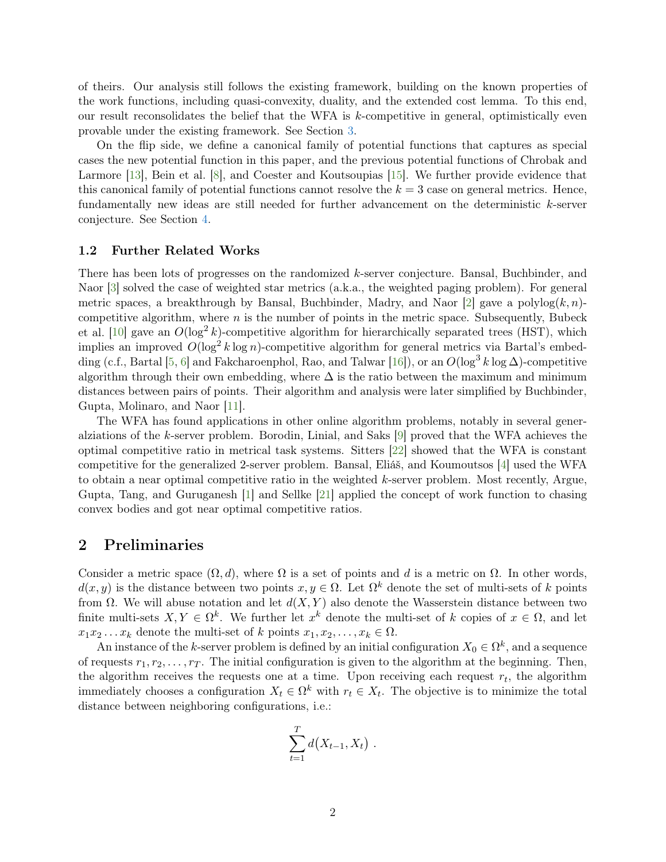of theirs. Our analysis still follows the existing framework, building on the known properties of the work functions, including quasi-convexity, duality, and the extended cost lemma. To this end, our result reconsolidates the belief that the WFA is k-competitive in general, optimistically even provable under the existing framework. See Section [3.](#page-4-0)

On the flip side, we define a canonical family of potential functions that captures as special cases the new potential function in this paper, and the previous potential functions of Chrobak and Larmore [\[13\]](#page-14-7), Bein et al. [\[8\]](#page-14-4), and Coester and Koutsoupias [\[15](#page-14-6)]. We further provide evidence that this canonical family of potential functions cannot resolve the  $k = 3$  case on general metrics. Hence, fundamentally new ideas are still needed for further advancement on the deterministic k-server conjecture. See Section [4.](#page-9-0)

### 1.2 Further Related Works

There has been lots of progresses on the randomized k-server conjecture. Bansal, Buchbinder, and Naor [\[3\]](#page-13-0) solved the case of weighted star metrics (a.k.a., the weighted paging problem). For general metric spaces, a breakthrough by Bansal, Buchbinder, Madry, and Naor  $|2|$  gave a polylog $(k, n)$ competitive algorithm, where  $n$  is the number of points in the metric space. Subsequently, Bubeck et al. [\[10\]](#page-14-8) gave an  $O(\log^2 k)$ -competitive algorithm for hierarchically separated trees (HST), which implies an improved  $O(\log^2 k \log n)$ -competitive algorithm for general metrics via Bartal's embed-ding (c.f., Bartal [\[5](#page-13-2), [6](#page-13-3)] and Fakcharoenphol, Rao, and Talwar [\[16](#page-14-9)]), or an  $O(\log^3 k \log \Delta)$ -competitive algorithm through their own embedding, where  $\Delta$  is the ratio between the maximum and minimum distances between pairs of points. Their algorithm and analysis were later simplified by Buchbinder, Gupta, Molinaro, and Naor [\[11\]](#page-14-10).

The WFA has found applications in other online algorithm problems, notably in several generalziations of the k-server problem. Borodin, Linial, and Saks [\[9\]](#page-14-11) proved that the WFA achieves the optimal competitive ratio in metrical task systems. Sitters [\[22](#page-14-12)] showed that the WFA is constant competitive for the generalized 2-server problem. Bansal, Eliáš, and Koumoutsos [\[4\]](#page-13-4) used the WFA to obtain a near optimal competitive ratio in the weighted k-server problem. Most recently, Argue, Gupta, Tang, and Guruganesh [\[1](#page-13-5)] and Sellke [\[21](#page-14-13)] applied the concept of work function to chasing convex bodies and got near optimal competitive ratios.

## 2 Preliminaries

Consider a metric space  $(\Omega, d)$ , where  $\Omega$  is a set of points and d is a metric on  $\Omega$ . In other words,  $d(x, y)$  is the distance between two points  $x, y \in \Omega$ . Let  $\Omega^k$  denote the set of multi-sets of k points from  $\Omega$ . We will abuse notation and let  $d(X, Y)$  also denote the Wasserstein distance between two finite multi-sets  $X, Y \in \Omega^k$ . We further let  $x^k$  denote the multi-set of k copies of  $x \in \Omega$ , and let  $x_1x_2 \ldots x_k$  denote the multi-set of k points  $x_1, x_2, \ldots, x_k \in \Omega$ .

An instance of the k-server problem is defined by an initial configuration  $X_0 \in \Omega^k$ , and a sequence of requests  $r_1, r_2, \ldots, r_T$ . The initial configuration is given to the algorithm at the beginning. Then, the algorithm receives the requests one at a time. Upon receiving each request  $r_t$ , the algorithm immediately chooses a configuration  $X_t \in \Omega^k$  with  $r_t \in X_t$ . The objective is to minimize the total distance between neighboring configurations, i.e.:

$$
\sum_{t=1}^T d(X_{t-1}, X_t) \; .
$$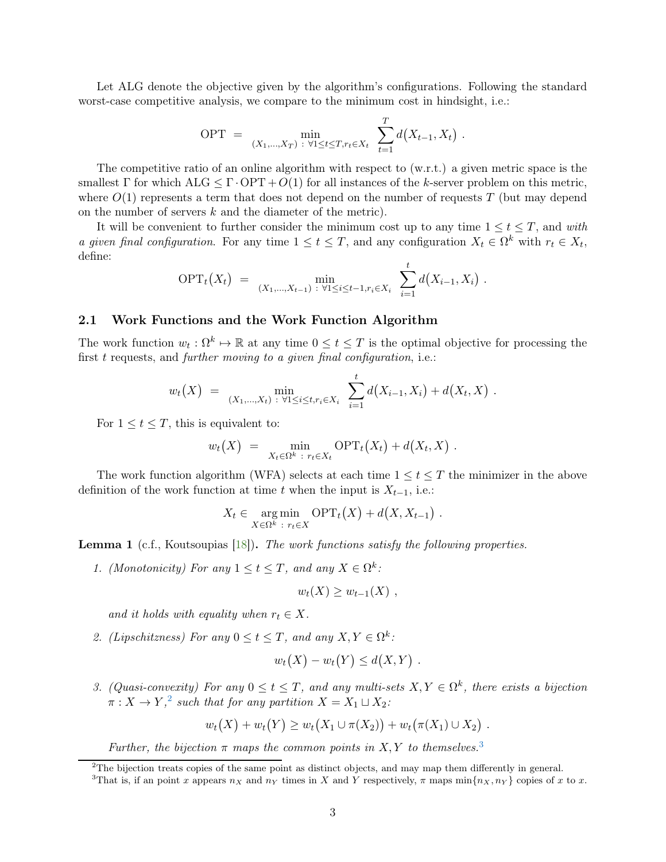Let ALG denote the objective given by the algorithm's configurations. Following the standard worst-case competitive analysis, we compare to the minimum cost in hindsight, i.e.:

OPT = 
$$
\min_{(X_1,...,X_T) \; : \; \forall 1 \leq t \leq T, r_t \in X_t} \sum_{t=1}^T d(X_{t-1}, X_t)
$$
.

The competitive ratio of an online algorithm with respect to (w.r.t.) a given metric space is the smallest  $\Gamma$  for which  $\text{ALG} \leq \Gamma \cdot \text{OPT} + O(1)$  for all instances of the k-server problem on this metric, where  $O(1)$  represents a term that does not depend on the number of requests T (but may depend on the number of servers k and the diameter of the metric).

It will be convenient to further consider the minimum cost up to any time  $1 \le t \le T$ , and with a given final configuration. For any time  $1 \le t \le T$ , and any configuration  $X_t \in \Omega^k$  with  $r_t \in X_t$ , define:

$$
\text{OPT}_t(X_t) = \min_{(X_1,\ldots,X_{t-1}) \;:\; \forall 1 \leq i \leq t-1, r_i \in X_i} \; \sum_{i=1}^t d(X_{i-1}, X_i) \; .
$$

## 2.1 Work Functions and the Work Function Algorithm

The work function  $w_t : \Omega^k \to \mathbb{R}$  at any time  $0 \le t \le T$  is the optimal objective for processing the first  $t$  requests, and further moving to a given final configuration, i.e.:

$$
w_t(X) = \min_{(X_1,\ldots,X_t) \; : \; \forall 1 \leq i \leq t, r_i \in X_i} \; \sum_{i=1}^t d(X_{i-1},X_i) + d(X_t,X) \; .
$$

For  $1 \le t \le T$ , this is equivalent to:

$$
w_t(X) = \min_{X_t \in \Omega^k : r_t \in X_t} \text{OPT}_t(X_t) + d(X_t, X) .
$$

The work function algorithm (WFA) selects at each time  $1 \leq t \leq T$  the minimizer in the above definition of the work function at time t when the input is  $X_{t-1}$ , i.e.:

$$
X_t \in \underset{X \in \Omega^k}{\arg \min} \text{ OPT}_t(X) + d(X, X_{t-1}) .
$$

<span id="page-3-2"></span>Lemma 1 (c.f., Koutsoupias [\[18](#page-14-14)]). The work functions satisfy the following properties.

1. (Monotonicity) For any  $1 \le t \le T$ , and any  $X \in \Omega^k$ :

$$
w_t(X) \ge w_{t-1}(X) ,
$$

and it holds with equality when  $r_t \in X$ .

2. (Lipschitzness) For any  $0 \le t \le T$ , and any  $X, Y \in \Omega^k$ :

$$
w_t(X) - w_t(Y) \leq d(X,Y) .
$$

3. (Quasi-convexity) For any  $0 \le t \le T$ , and any multi-sets  $X, Y \in \Omega^k$ , there exists a bijection  $\pi: X \to Y,^2$  $\pi: X \to Y,^2$  such that for any partition  $X = X_1 \sqcup X_2$ :

$$
w_t(X) + w_t(Y) \ge w_t(X_1 \cup \pi(X_2)) + w_t(\pi(X_1) \cup X_2).
$$

Further, the bijection  $\pi$  maps the common points in X, Y to themselves.<sup>[3](#page-3-1)</sup>

 $2^2$ The bijection treats copies of the same point as distinct objects, and may map them differently in general.

<span id="page-3-1"></span><span id="page-3-0"></span><sup>&</sup>lt;sup>3</sup>That is, if an point x appears  $n_X$  and  $n_Y$  times in X and Y respectively,  $\pi$  maps  $\min\{n_X, n_Y\}$  copies of x to x.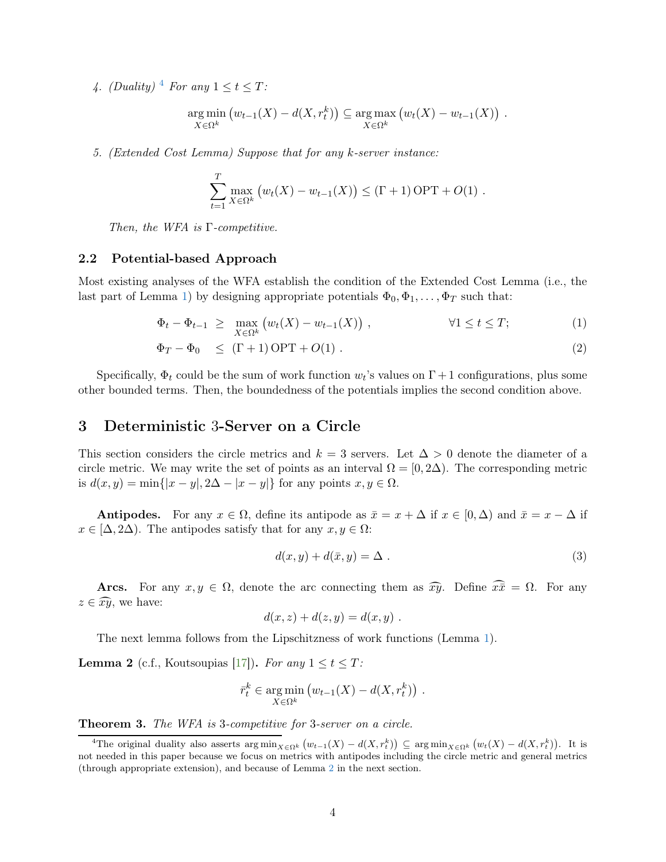[4](#page-4-1). (Duality)<sup>4</sup> For any  $1 \le t \le T$ :

$$
\underset{X \in \Omega^k}{\arg \min} \left( w_{t-1}(X) - d(X, r_t^k) \right) \subseteq \underset{X \in \Omega^k}{\arg \max} \left( w_t(X) - w_{t-1}(X) \right) .
$$

5. (Extended Cost Lemma) Suppose that for any k-server instance:

$$
\sum_{t=1}^T \max_{X \in \Omega^k} (w_t(X) - w_{t-1}(X)) \leq (\Gamma + 1) \text{ OPT} + O(1) .
$$

Then, the WFA is  $\Gamma$ -competitive.

## 2.2 Potential-based Approach

Most existing analyses of the WFA establish the condition of the Extended Cost Lemma (i.e., the last part of Lemma [1\)](#page-3-2) by designing appropriate potentials  $\Phi_0, \Phi_1, \ldots, \Phi_T$  such that:

$$
\Phi_t - \Phi_{t-1} \ge \max_{X \in \Omega^k} \left( w_t(X) - w_{t-1}(X) \right), \qquad \forall 1 \le t \le T; \tag{1}
$$

$$
\Phi_T - \Phi_0 \leq (\Gamma + 1) \text{OPT} + O(1) \tag{2}
$$

Specifically,  $\Phi_t$  could be the sum of work function  $w_t$ 's values on  $\Gamma + 1$  configurations, plus some other bounded terms. Then, the boundedness of the potentials implies the second condition above.

## <span id="page-4-0"></span>3 Deterministic 3-Server on a Circle

This section considers the circle metrics and  $k = 3$  servers. Let  $\Delta > 0$  denote the diameter of a circle metric. We may write the set of points as an interval  $\Omega = [0, 2\Delta)$ . The corresponding metric is  $d(x, y) = \min\{|x - y|, 2\Delta - |x - y|\}$  for any points  $x, y \in \Omega$ .

Antipodes. For any  $x \in \Omega$ , define its antipode as  $\bar{x} = x + \Delta$  if  $x \in [0, \Delta)$  and  $\bar{x} = x - \Delta$  if  $x \in [\Delta, 2\Delta)$ . The antipodes satisfy that for any  $x, y \in \Omega$ :

<span id="page-4-5"></span><span id="page-4-4"></span><span id="page-4-3"></span>
$$
d(x, y) + d(\bar{x}, y) = \Delta \tag{3}
$$

Arcs. For any  $x, y \in \Omega$ , denote the arc connecting them as  $\widehat{xy}$ . Define  $\widehat{x}\overline{x} = \Omega$ . For any  $z \in \widehat{xy}$ , we have:

$$
d(x, z) + d(z, y) = d(x, y) .
$$

The next lemma follows from the Lipschitzness of work functions (Lemma [1\)](#page-3-2).

<span id="page-4-2"></span>**Lemma 2** (c.f., Koutsoupias [\[17](#page-14-15)]). For any  $1 \le t \le T$ :

$$
\bar{r}_t^k \in \underset{X \in \Omega^k}{\arg \min} (w_{t-1}(X) - d(X, r_t^k)).
$$

<span id="page-4-6"></span>Theorem 3. The WFA is 3-competitive for 3-server on a circle.

<span id="page-4-1"></span><sup>&</sup>lt;sup>4</sup>The original duality also asserts arg min<sub> $X \in \Omega^k$ </sub>  $(w_{t-1}(X) - d(X, r_t^k)) \subseteq \arg \min_{X \in \Omega^k} (w_t(X) - d(X, r_t^k))$ . It is not needed in this paper because we focus on metrics with antipodes including the circle metric and general metrics (through appropriate extension), and because of Lemma [2](#page-4-2) in the next section.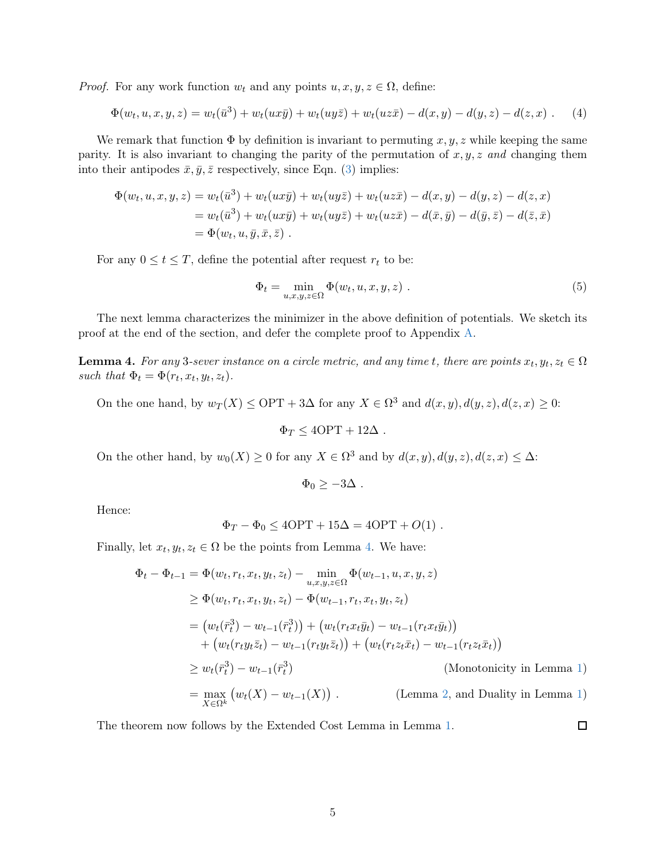*Proof.* For any work function  $w_t$  and any points  $u, x, y, z \in \Omega$ , define:

$$
\Phi(w_t, u, x, y, z) = w_t(\bar{u}^3) + w_t(ux\bar{y}) + w_t(uy\bar{z}) + w_t(uz\bar{x}) - d(x, y) - d(y, z) - d(z, x) .
$$
 (4)

We remark that function  $\Phi$  by definition is invariant to permuting x, y, z while keeping the same parity. It is also invariant to changing the parity of the permutation of  $x, y, z$  and changing them into their antipodes  $\bar{x}, \bar{y}, \bar{z}$  respectively, since Eqn. [\(3\)](#page-4-3) implies:

$$
\Phi(w_t, u, x, y, z) = w_t(\bar{u}^3) + w_t(ux\bar{y}) + w_t(uy\bar{z}) + w_t(uz\bar{x}) - d(x, y) - d(y, z) - d(z, x)
$$
  
= 
$$
w_t(\bar{u}^3) + w_t(ux\bar{y}) + w_t(uy\bar{z}) + w_t(uz\bar{x}) - d(\bar{x}, \bar{y}) - d(\bar{y}, \bar{z}) - d(\bar{z}, \bar{x})
$$
  
= 
$$
\Phi(w_t, u, \bar{y}, \bar{x}, \bar{z}).
$$

For any  $0 \le t \le T$ , define the potential after request  $r_t$  to be:

<span id="page-5-2"></span><span id="page-5-1"></span>
$$
\Phi_t = \min_{u,x,y,z \in \Omega} \Phi(w_t, u, x, y, z) . \tag{5}
$$

The next lemma characterizes the minimizer in the above definition of potentials. We sketch its proof at the end of the section, and defer the complete proof to Appendix [A.](#page-15-0)

<span id="page-5-0"></span>**Lemma 4.** For any 3-sever instance on a circle metric, and any time t, there are points  $x_t, y_t, z_t \in \Omega$ such that  $\Phi_t = \Phi(r_t, x_t, y_t, z_t)$ .

On the one hand, by  $w_T(X) \leq \text{OPT} + 3\Delta$  for any  $X \in \Omega^3$  and  $d(x, y), d(y, z), d(z, x) \geq 0$ :

$$
\Phi_T \le 4\text{OPT} + 12\Delta \; .
$$

On the other hand, by  $w_0(X) \ge 0$  for any  $X \in \Omega^3$  and by  $d(x, y), d(y, z), d(z, x) \le \Delta$ :

$$
\Phi_0 \geq -3\Delta \; .
$$

Hence:

$$
\Phi_T - \Phi_0 \le 4\text{OPT} + 15\Delta = 4\text{OPT} + O(1) \; .
$$

Finally, let  $x_t, y_t, z_t \in \Omega$  be the points from Lemma [4.](#page-5-0) We have:

$$
\Phi_t - \Phi_{t-1} = \Phi(w_t, r_t, x_t, y_t, z_t) - \min_{u, x, y, z \in \Omega} \Phi(w_{t-1}, u, x, y, z)
$$
\n
$$
\geq \Phi(w_t, r_t, x_t, y_t, z_t) - \Phi(w_{t-1}, r_t, x_t, y_t, z_t)
$$
\n
$$
= (w_t(\bar{r}_t^3) - w_{t-1}(\bar{r}_t^3)) + (w_t(r_t x_t \bar{y}_t) - w_{t-1}(r_t x_t \bar{y}_t)) + (w_t(r_t y_t \bar{z}_t) - w_{t-1}(r_t y_t \bar{z}_t)) + (w_t(r_t z_t \bar{x}_t) - w_{t-1}(r_t z_t \bar{x}_t))
$$
\n
$$
\geq w_t(\bar{r}_t^3) - w_{t-1}(\bar{r}_t^3) \qquad \text{(Monotonicity in Lemma 1)}
$$
\n
$$
= \max_{X \in \Omega^k} (w_t(X) - w_{t-1}(X)). \qquad \text{(Lemma 2, and Duality in Lemma 1)}
$$

 $\Box$ 

The theorem now follows by the Extended Cost Lemma in Lemma [1.](#page-3-2)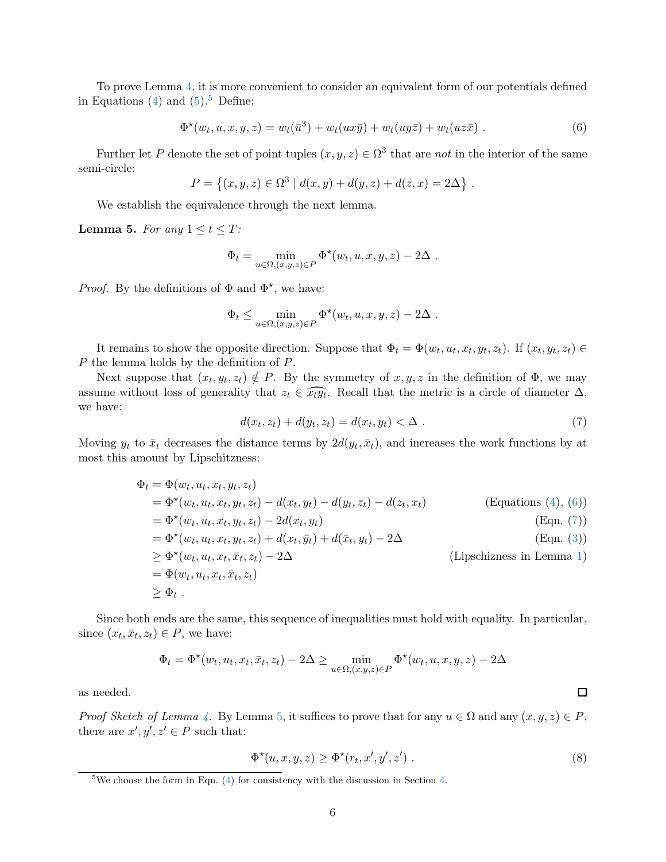To prove Lemma [4,](#page-5-0) it is more convenient to consider an equivalent form of our potentials defined in Equations [\(4\)](#page-5-1) and  $(5).<sup>5</sup>$  $(5).<sup>5</sup>$  $(5).<sup>5</sup>$  $(5).<sup>5</sup>$  Define:

<span id="page-6-1"></span>
$$
\Phi^{\star}(w_t, u, x, y, z) = w_t(\bar{u}^3) + w_t(ux\bar{y}) + w_t(uy\bar{z}) + w_t(uz\bar{x})
$$
 (6)

Further let P denote the set of point tuples  $(x, y, z) \in \Omega^3$  that are not in the interior of the same semi-circle:

$$
P = \{(x, y, z) \in \Omega^3 \mid d(x, y) + d(y, z) + d(z, x) = 2\Delta\}.
$$

We establish the equivalence through the next lemma.

<span id="page-6-3"></span>**Lemma 5.** For any  $1 \le t \le T$ :

$$
\Phi_t = \min_{u \in \Omega, (x, y, z) \in P} \Phi^{\star}(w_t, u, x, y, z) - 2\Delta.
$$

*Proof.* By the definitions of  $\Phi$  and  $\Phi^*$ , we have:

$$
\Phi_t \leq \min_{u \in \Omega, (x,y,z) \in P} \Phi^{\star}(w_t, u, x, y, z) - 2\Delta.
$$

It remains to show the opposite direction. Suppose that  $\Phi_t = \Phi(w_t, u_t, x_t, y_t, z_t)$ . If  $(x_t, y_t, z_t) \in$ P the lemma holds by the definition of P.

<span id="page-6-2"></span>Next suppose that  $(x_t, y_t, z_t) \notin P$ . By the symmetry of  $x, y, z$  in the definition of  $\Phi$ , we may assume without loss of generality that  $z_t \in \widehat{x_t y_t}$ . Recall that the metric is a circle of diameter  $\Delta$ , we have:

$$
d(x_t, z_t) + d(y_t, z_t) = d(x_t, y_t) < \Delta \tag{7}
$$

Moving  $y_t$  to  $\bar{x}_t$  decreases the distance terms by  $2d(y_t, \bar{x}_t)$ , and increases the work functions by at most this amount by Lipschitzness:

$$
\Phi_t = \Phi(w_t, u_t, x_t, y_t, z_t)
$$
\n
$$
= \Phi^*(w_t, u_t, x_t, y_t, z_t) - d(x_t, y_t) - d(y_t, z_t) - d(z_t, x_t)
$$
\n
$$
= \Phi^*(w_t, u_t, x_t, y_t, z_t) - 2d(x_t, y_t)
$$
\n
$$
= \Phi^*(w_t, u_t, x_t, y_t, z_t) + d(x_t, \bar{y}_t) + d(\bar{x}_t, y_t) - 2\Delta
$$
\n
$$
\geq \Phi^*(w_t, u_t, x_t, \bar{x}_t, z_t) - 2\Delta
$$
\n
$$
= \Phi(w_t, u_t, x_t, \bar{x}_t, z_t)
$$
\n
$$
\geq \Phi_t.
$$
\n(Dipschizness in Lemma 1)\n
$$
\Phi(t, u_t, x_t, \bar{x}_t, z_t)
$$

Since both ends are the same, this sequence of inequalities must hold with equality. In particular, since  $(x_t, \bar{x}_t, z_t) \in P$ , we have:

$$
\Phi_t = \Phi^{\star}(w_t, u_t, x_t, \bar{x}_t, z_t) - 2\Delta \ge \min_{u \in \Omega, (x, y, z) \in P} \Phi^{\star}(w_t, u, x, y, z) - 2\Delta
$$

as needed.

*Proof Sketch of Lemma [4.](#page-5-0)* By Lemma [5,](#page-6-3) it suffices to prove that for any  $u \in \Omega$  and any  $(x, y, z) \in P$ , there are  $x', y', z' \in P$  such that:

<span id="page-6-4"></span>
$$
\Phi^{\star}(u,x,y,z) \ge \Phi^{\star}(r_t,x',y',z') . \tag{8}
$$

 $\Box$ 

<span id="page-6-0"></span><sup>&</sup>lt;sup>5</sup>We choose the form in Eqn.  $(4)$  for consistency with the discussion in Section [4.](#page-9-0)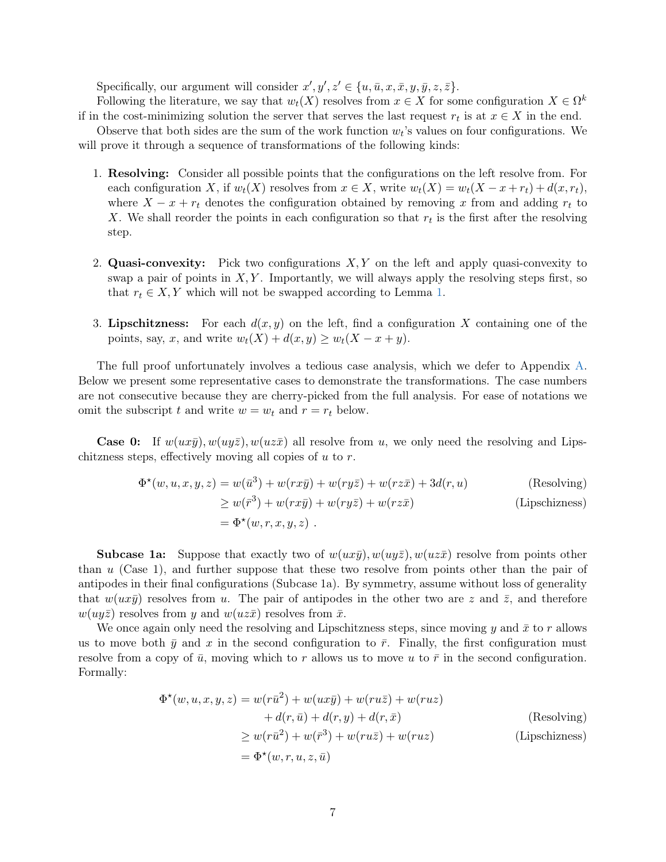Specifically, our argument will consider  $x', y', z' \in \{u, \bar{u}, x, \bar{x}, y, \bar{y}, z, \bar{z}\}.$ 

Following the literature, we say that  $w_t(X)$  resolves from  $x \in X$  for some configuration  $X \in \Omega^k$ if in the cost-minimizing solution the server that serves the last request  $r_t$  is at  $x \in X$  in the end.

Observe that both sides are the sum of the work function  $w_t$ 's values on four configurations. We will prove it through a sequence of transformations of the following kinds:

- 1. Resolving: Consider all possible points that the configurations on the left resolve from. For each configuration X, if  $w_t(X)$  resolves from  $x \in X$ , write  $w_t(X) = w_t(X - x + r_t) + d(x, r_t)$ , where  $X - x + r_t$  denotes the configuration obtained by removing x from and adding  $r_t$  to X. We shall reorder the points in each configuration so that  $r_t$  is the first after the resolving step.
- 2. Quasi-convexity: Pick two configurations  $X, Y$  on the left and apply quasi-convexity to swap a pair of points in  $X, Y$ . Importantly, we will always apply the resolving steps first, so that  $r_t \in X, Y$  which will not be swapped according to Lemma [1.](#page-3-2)
- 3. Lipschitzness: For each  $d(x, y)$  on the left, find a configuration X containing one of the points, say, x, and write  $w_t(X) + d(x, y) \geq w_t(X - x + y)$ .

The full proof unfortunately involves a tedious case analysis, which we defer to Appendix [A.](#page-15-0) Below we present some representative cases to demonstrate the transformations. The case numbers are not consecutive because they are cherry-picked from the full analysis. For ease of notations we omit the subscript t and write  $w = w_t$  and  $r = r_t$  below.

**Case 0:** If  $w(ux\bar{y})$ ,  $w(uy\bar{z})$ ,  $w(uz\bar{x})$  all resolve from u, we only need the resolving and Lipschitzness steps, effectively moving all copies of  $u$  to  $r$ .

$$
\Phi^{\star}(w, u, x, y, z) = w(\bar{u}^{3}) + w(rx\bar{y}) + w(ry\bar{z}) + w(rz\bar{x}) + 3d(r, u)
$$
 (Resolving)  
\n
$$
\geq w(\bar{r}^{3}) + w(rx\bar{y}) + w(ry\bar{z}) + w(rz\bar{x})
$$
 (Lipschizness)  
\n
$$
= \Phi^{\star}(w, r, x, y, z).
$$

**Subcase 1a:** Suppose that exactly two of  $w(ux\overline{y})$ ,  $w(uy\overline{z})$ ,  $w(uz\overline{x})$  resolve from points other than u (Case 1), and further suppose that these two resolve from points other than the pair of antipodes in their final configurations (Subcase 1a). By symmetry, assume without loss of generality that  $w(ux\bar{y})$  resolves from u. The pair of antipodes in the other two are z and  $\bar{z}$ , and therefore  $w(uy\overline{z})$  resolves from y and  $w(uz\overline{x})$  resolves from  $\overline{x}$ .

We once again only need the resolving and Lipschitzness steps, since moving y and  $\bar{x}$  to r allows us to move both  $\bar{y}$  and x in the second configuration to  $\bar{r}$ . Finally, the first configuration must resolve from a copy of  $\bar{u}$ , moving which to r allows us to move u to  $\bar{r}$  in the second configuration. Formally:

$$
\Phi^*(w, u, x, y, z) = w(r\bar{u}^2) + w(ux\bar{y}) + w(ru\bar{z}) + w(ruz) \n+ d(r, \bar{u}) + d(r, y) + d(r, \bar{x})
$$
\n(Resolving)  
\n
$$
\geq w(r\bar{u}^2) + w(\bar{r}^3) + w(ru\bar{z}) + w(ruz)
$$
\n(Lipschizness)  
\n
$$
= \Phi^*(w, r, u, z, \bar{u})
$$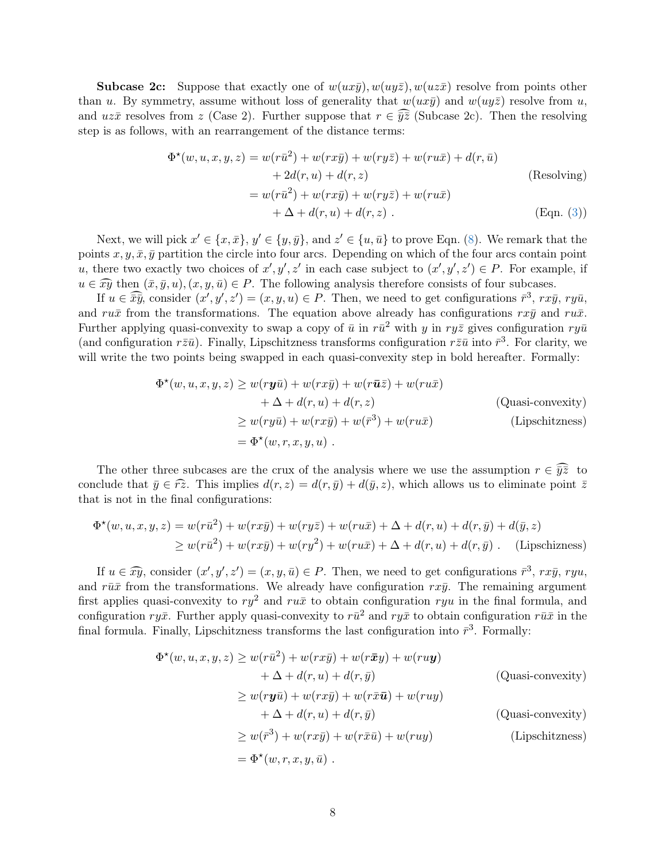**Subcase 2c:** Suppose that exactly one of  $w(ux\bar{y})$ ,  $w(uy\bar{z})$ ,  $w(uz\bar{x})$  resolve from points other than u. By symmetry, assume without loss of generality that  $w(ux\bar{y})$  and  $w(uy\bar{z})$  resolve from u, and uz $\bar{x}$  resolves from z (Case 2). Further suppose that  $r \in \overline{\hat{y}\hat{z}}$  (Subcase 2c). Then the resolving step is as follows, with an rearrangement of the distance terms:

$$
\Phi^{\star}(w, u, x, y, z) = w(r\bar{u}^{2}) + w(rx\bar{y}) + w(ry\bar{z}) + w(ru\bar{x}) + d(r, \bar{u})
$$
  
+ 2d(r, u) + d(r, z) (Resolving)  
= 
$$
w(r\bar{u}^{2}) + w(rx\bar{y}) + w(ry\bar{z}) + w(ru\bar{x})
$$
  
+ 
$$
\Delta + d(r, u) + d(r, z) .
$$
 (Eqn. (3))

Next, we will pick  $x' \in \{x, \bar{x}\}, y' \in \{y, \bar{y}\},\$  and  $z' \in \{u, \bar{u}\}\$ to prove Eqn. [\(8\)](#page-6-4). We remark that the points x, y,  $\bar{x}$ ,  $\bar{y}$  partition the circle into four arcs. Depending on which of the four arcs contain point u, there two exactly two choices of  $x', y', z'$  in each case subject to  $(x', y', z') \in P$ . For example, if  $u \in \widehat{xy}$  then  $(\bar{x}, \bar{y}, u), (x, y, \bar{u}) \in P$ . The following analysis therefore consists of four subcases.

If  $u \in \widehat{\overline{xy}}$ , consider  $(x', y', z') = (x, y, u) \in P$ . Then, we need to get configurations  $\overline{r}^3$ ,  $rx\overline{y}$ ,  $ry\overline{u}$ , and ru $\bar{x}$  from the transformations. The equation above already has configurations rx $\bar{y}$  and ru $\bar{x}$ . Further applying quasi-convexity to swap a copy of  $\bar{u}$  in  $r\bar{u}^2$  with y in  $ry\bar{z}$  gives configuration  $ry\bar{u}$ (and configuration  $r\bar{z}\bar{u}$ ). Finally, Lipschitzness transforms configuration  $r\bar{z}\bar{u}$  into  $\bar{r}^3$ . For clarity, we will write the two points being swapped in each quasi-convexity step in bold hereafter. Formally:

$$
\Phi^*(w, u, x, y, z) \ge w(ry\bar{u}) + w(rx\bar{y}) + w(r\bar{u}\bar{z}) + w(ru\bar{x})
$$
  
+  $\Delta + d(r, u) + d(r, z)$  (Quasi-convexity)  

$$
\ge w(ry\bar{u}) + w(rx\bar{y}) + w(\bar{r}^3) + w(ru\bar{x})
$$
 (Lipschitzness)  
=  $\Phi^*(w, r, x, y, u)$ .

The other three subcases are the crux of the analysis where we use the assumption  $r \in \widehat{yz}$  to conclude that  $\bar{y} \in \hat{r}z$ . This implies  $d(r, z) = d(r, \bar{y}) + d(\bar{y}, z)$ , which allows us to eliminate point  $\bar{z}$ that is not in the final configurations:

$$
\Phi^{\star}(w, u, x, y, z) = w(r\bar{u}^{2}) + w(rx\bar{y}) + w(ry\bar{z}) + w(ru\bar{x}) + \Delta + d(r, u) + d(r, \bar{y}) + d(\bar{y}, z)
$$
  
\n
$$
\geq w(r\bar{u}^{2}) + w(rx\bar{y}) + w(ry^{2}) + w(ru\bar{x}) + \Delta + d(r, u) + d(r, \bar{y}). \quad \text{(Lipschizness)}
$$

If  $u \in \widehat{xy}$ , consider  $(x', y', z') = (x, y, \bar{u}) \in P$ . Then, we need to get configurations  $\bar{r}^3$ ,  $r x \bar{y}$ ,  $r y u$ , and  $r\bar{u}\bar{x}$  from the transformations. We already have configuration  $r\bar{x}\bar{y}$ . The remaining argument first applies quasi-convexity to  $r\hat{v}$  and  $r\hat{u}$  to obtain configuration  $r\hat{u}$  in the final formula, and configuration  $ry\bar{x}$ . Further apply quasi-convexity to  $r\bar{u}^2$  and  $ry\bar{x}$  to obtain configuration  $r\bar{u}\bar{x}$  in the final formula. Finally, Lipschitzness transforms the last configuration into  $\bar{r}^3$ . Formally:

$$
\Phi^{\star}(w, u, x, y, z) \ge w(r\bar{u}^{2}) + w(rx\bar{y}) + w(r\bar{x}y) + w(ru\mathbf{y})
$$
  
+  $\Delta + d(r, u) + d(r, \bar{y})$  (Quasi-convexity)  

$$
\ge w(r\mathbf{y}\bar{u}) + w(rx\bar{y}) + w(r\bar{x}\bar{u}) + w(ruy)
$$
  
+  $\Delta + d(r, u) + d(r, \bar{y})$  (Quasi-convexity)  

$$
\ge w(\bar{r}^{3}) + w(rx\bar{y}) + w(r\bar{x}\bar{u}) + w(ruy)
$$
 (Lipschitzness)  
=  $\Phi^{\star}(w, r, x, y, \bar{u})$ .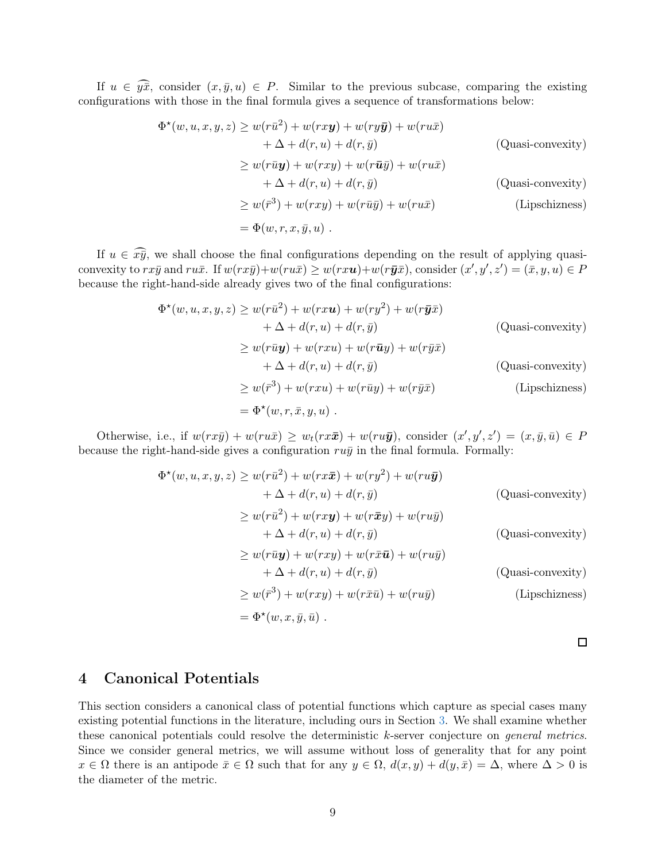If  $u \in \widehat{y}\overline{x}$ , consider  $(x,\overline{y},u) \in P$ . Similar to the previous subcase, comparing the existing configurations with those in the final formula gives a sequence of transformations below:

$$
\Phi^{\star}(w, u, x, y, z) \ge w(r\bar{u}^{2}) + w(rx\mathbf{y}) + w(ry\bar{\mathbf{y}}) + w(ru\bar{x})
$$
  
+  $\Delta + d(r, u) + d(r, \bar{y})$  (Quasi-convexity)  

$$
\ge w(r\bar{u}\mathbf{y}) + w(rxy) + w(r\bar{u}\bar{y}) + w(ru\bar{x})
$$
  
+  $\Delta + d(r, u) + d(r, \bar{y})$  (Quasi-convexity)  

$$
\ge w(\bar{r}^{3}) + w(rxy) + w(r\bar{u}\bar{y}) + w(ru\bar{x})
$$
 (Lipschizness)  
=  $\Phi(w, r, x, \bar{y}, u)$ .

If  $u \in \widehat{x}\overline{y}$ , we shall choose the final configurations depending on the result of applying quasiconvexity to  $rx\bar{y}$  and  $ru\bar{x}$ . If  $w(rx\bar{y})+w(ru\bar{x}) \geq w(rx\mathbf{u})+w(r\bar{y}\bar{x})$ , consider  $(x', y', z') = (\bar{x}, y, u) \in P$ because the right-hand-side already gives two of the final configurations:

$$
\Phi^*(w, u, x, y, z) \ge w(r\bar{u}^2) + w(rxu) + w(ry^2) + w(r\bar{y}\bar{x})
$$
  
+  $\Delta + d(r, u) + d(r, \bar{y})$  (Quasi-convexity)  

$$
\ge w(r\bar{u}y) + w(rxu) + w(r\bar{u}y) + w(r\bar{y}\bar{x})
$$
  
+  $\Delta + d(r, u) + d(r, \bar{y})$  (Quasi-convexity)  

$$
\ge w(\bar{r}^3) + w(rxu) + w(r\bar{u}y) + w(r\bar{y}\bar{x})
$$
 (Lipschizness)  
=  $\Phi^*(w, r, \bar{x}, y, u)$ .

Otherwise, i.e., if  $w(rx\bar{y}) + w(ru\bar{x}) \ge w_t(rx\bar{x}) + w(ru\bar{y})$ , consider  $(x', y', z') = (x, \bar{y}, \bar{u}) \in P$ because the right-hand-side gives a configuration  $ru\bar{y}$  in the final formula. Formally:

$$
\Phi^{\star}(w, u, x, y, z) \ge w(r\bar{u}^{2}) + w(rx\bar{x}) + w(ry^{2}) + w(ru\bar{y})
$$
\n
$$
+ \Delta + d(r, u) + d(r, \bar{y})
$$
\n(Quasi-convexity)\n
$$
\ge w(r\bar{u}^{2}) + w(rx\bar{y}) + w(r\bar{x}y) + w(ru\bar{y})
$$
\n
$$
+ \Delta + d(r, u) + d(r, \bar{y})
$$
\n(Quasi-convexity)\n
$$
\ge w(r\bar{u}y) + w(rx\bar{y}) + w(rx\bar{u}) + w(ru\bar{y})
$$
\n(Quasi-convexity)\n
$$
+ \Delta + d(r, u) + d(r, \bar{y})
$$
\n(Quasi-convexity)\n
$$
\ge w(\bar{r}^{3}) + w(rx\bar{y}) + w(r\bar{x}\bar{u}) + w(ru\bar{y})
$$
\n(Lipschizness)\n
$$
= \Phi^{\star}(w, x, \bar{y}, \bar{u}).
$$

 $\Box$ 

## <span id="page-9-0"></span>4 Canonical Potentials

This section considers a canonical class of potential functions which capture as special cases many existing potential functions in the literature, including ours in Section [3.](#page-4-0) We shall examine whether these canonical potentials could resolve the deterministic k-server conjecture on *general metrics*. Since we consider general metrics, we will assume without loss of generality that for any point  $x \in \Omega$  there is an antipode  $\bar{x} \in \Omega$  such that for any  $y \in \Omega$ ,  $d(x, y) + d(y, \bar{x}) = \Delta$ , where  $\Delta > 0$  is the diameter of the metric.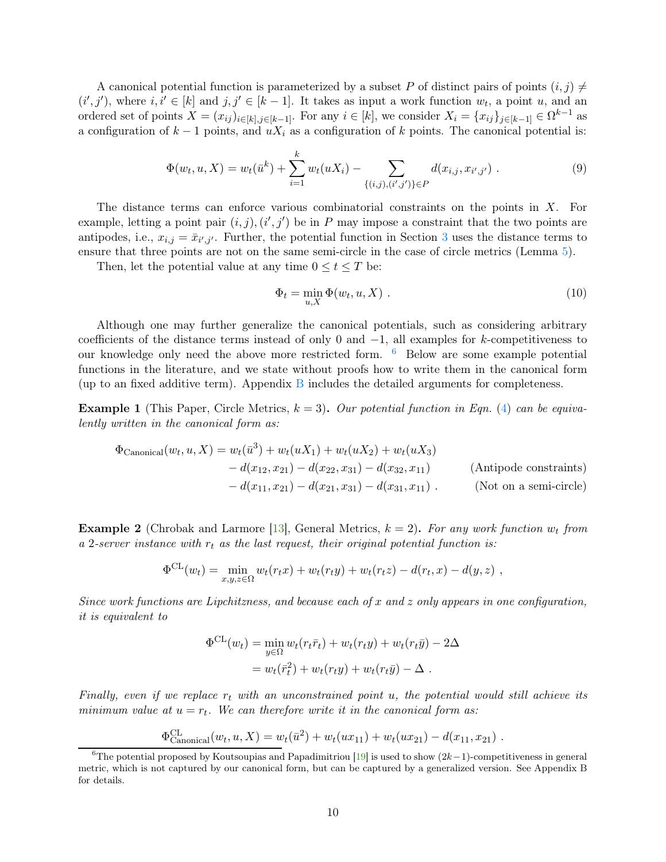A canonical potential function is parameterized by a subset P of distinct pairs of points  $(i, j) \neq j$  $(i',j')$ , where  $i, i' \in [k]$  and  $j, j' \in [k-1]$ . It takes as input a work function  $w_t$ , a point u, and an ordered set of points  $X = (x_{ij})_{i \in [k], j \in [k-1]}$ . For any  $i \in [k]$ , we consider  $X_i = \{x_{ij}\}_{j \in [k-1]} \in \Omega^{k-1}$  as a configuration of  $k-1$  points, and  $uX_i$  as a configuration of k points. The canonical potential is:

$$
\Phi(w_t, u, X) = w_t(\bar{u}^k) + \sum_{i=1}^k w_t(uX_i) - \sum_{\{(i,j), (i',j')\} \in P} d(x_{i,j}, x_{i',j'}) . \tag{9}
$$

The distance terms can enforce various combinatorial constraints on the points in  $X$ . For example, letting a point pair  $(i, j)$ ,  $(i', j')$  be in P may impose a constraint that the two points are antipodes, i.e.,  $x_{i,j} = \bar{x}_{i',j'}$ . Further, the potential function in Section [3](#page-4-0) uses the distance terms to ensure that three points are not on the same semi-circle in the case of circle metrics (Lemma [5\)](#page-6-3).

Then, let the potential value at any time  $0 \le t \le T$  be:

<span id="page-10-2"></span>
$$
\Phi_t = \min_{u,X} \Phi(w_t, u, X) . \tag{10}
$$

Although one may further generalize the canonical potentials, such as considering arbitrary coefficients of the distance terms instead of only 0 and  $-1$ , all examples for k-competitiveness to our knowledge only need the above more restricted form.  $6$  Below are some example potential functions in the literature, and we state without proofs how to write them in the canonical form (up to an fixed additive term). Appendix [B](#page-21-0) includes the detailed arguments for completeness.

<span id="page-10-3"></span>**Example 1** (This Paper, Circle Metrics,  $k = 3$ ). Our potential function in Eqn. [\(4\)](#page-5-1) can be equivalently written in the canonical form as:

$$
\Phi_{\text{Canonical}}(w_t, u, X) = w_t(\bar{u}^3) + w_t(uX_1) + w_t(uX_2) + w_t(uX_3) \n- d(x_{12}, x_{21}) - d(x_{22}, x_{31}) - d(x_{32}, x_{11})
$$
\n(Antipode constraints)  
\n- d(x\_{11}, x\_{21}) - d(x\_{21}, x\_{31}) - d(x\_{31}, x\_{11}). (Not on a semi-circle)

<span id="page-10-1"></span>**Example 2** (Chrobak and Larmore [\[13](#page-14-7)], General Metrics,  $k = 2$ ). For any work function  $w_t$  from a 2-server instance with  $r_t$  as the last request, their original potential function is:

$$
\Phi^{\text{CL}}(w_t) = \min_{x,y,z \in \Omega} w_t(r_t x) + w_t(r_t y) + w_t(r_t z) - d(r_t, x) - d(y, z) ,
$$

Since work functions are Lipchitzness, and because each of x and z only appears in one configuration, it is equivalent to

$$
\Phi^{\text{CL}}(w_t) = \min_{y \in \Omega} w_t(r_t \overline{r}_t) + w_t(r_t y) + w_t(r_t \overline{y}) - 2\Delta
$$
  
= 
$$
w_t(\overline{r}_t^2) + w_t(r_t y) + w_t(r_t \overline{y}) - \Delta.
$$

Finally, even if we replace  $r_t$  with an unconstrained point u, the potential would still achieve its minimum value at  $u = r_t$ . We can therefore write it in the canonical form as:

$$
\Phi_{\text{Canonical}}^{CL}(w_t, u, X) = w_t(\bar{u}^2) + w_t(ux_{11}) + w_t(ux_{21}) - d(x_{11}, x_{21}).
$$

<span id="page-10-0"></span><sup>&</sup>lt;sup>6</sup>The potential proposed by Koutsoupias and Papadimitriou [\[19](#page-14-1)] is used to show  $(2k-1)$ -competitiveness in general metric, which is not captured by our canonical form, but can be captured by a generalized version. See Appendix B for details.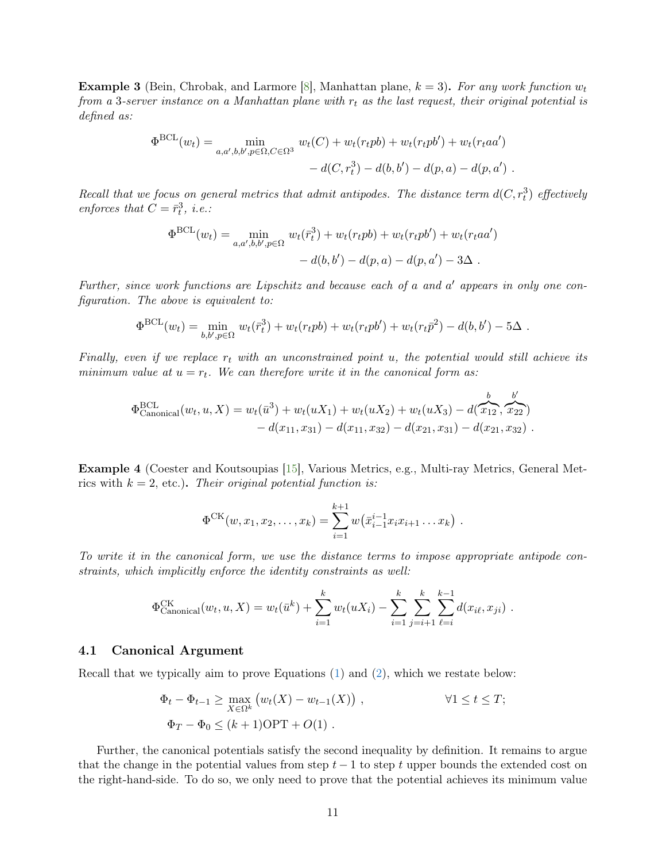<span id="page-11-0"></span>**Example 3** (Bein, Chrobak, and Larmore [\[8\]](#page-14-4), Manhattan plane,  $k = 3$ ). For any work function  $w_t$ from a 3-server instance on a Manhattan plane with  $r_t$  as the last request, their original potential is defined as:

$$
\Phi^{\text{BCL}}(w_t) = \min_{a,a',b,b',p \in \Omega, C \in \Omega^3} w_t(C) + w_t(r_t p b) + w_t(r_t p b') + w_t(r_t a a')
$$
  
-  $d(C, r_t^3) - d(b, b') - d(p, a) - d(p, a')$ .

Recall that we focus on general metrics that admit antipodes. The distance term  $d(C, r_t^3)$  effectively enforces that  $C = \bar{r}_t^3$ , *i.e.*:

$$
\Phi^{\text{BCL}}(w_t) = \min_{a,a',b,b',p \in \Omega} w_t(\bar{r}_t^3) + w_t(r_t p b) + w_t(r_t p b') + w_t(r_t a a')
$$
  
-  $d(b,b') - d(p,a) - d(p,a') - 3\Delta$ .

Further, since work functions are Lipschitz and because each of a and a' appears in only one configuration. The above is equivalent to:

$$
\Phi^{\text{BCL}}(w_t) = \min_{b,b',p \in \Omega} w_t(\bar{r}_t^3) + w_t(r_t p b) + w_t(r_t p b') + w_t(r_t \bar{p}^2) - d(b,b') - 5\Delta.
$$

Finally, even if we replace  $r_t$  with an unconstrained point u, the potential would still achieve its minimum value at  $u = r_t$ . We can therefore write it in the canonical form as:

$$
\Phi_{\text{canonical}}^{\text{BCL}}(w_t, u, X) = w_t(\bar{u}^3) + w_t(uX_1) + w_t(uX_2) + w_t(uX_3) - d(\overbrace{x_{12}}^b, \overbrace{x_{22}}^b) - d(x_{11}, x_{31}) - d(x_{11}, x_{32}) - d(x_{21}, x_{31}) - d(x_{21}, x_{32}).
$$

<span id="page-11-1"></span>Example 4 (Coester and Koutsoupias [\[15\]](#page-14-6), Various Metrics, e.g., Multi-ray Metrics, General Metrics with  $k = 2$ , etc.). Their original potential function is:

$$
\Phi^{\text{CK}}(w, x_1, x_2, \dots, x_k) = \sum_{i=1}^{k+1} w(\bar{x}_{i-1}^{i-1} x_i x_{i+1} \dots x_k) .
$$

To write it in the canonical form, we use the distance terms to impose appropriate antipode constraints, which implicitly enforce the identity constraints as well:

$$
\Phi_{\text{canonical}}^{\text{CK}}(w_t, u, X) = w_t(\bar{u}^k) + \sum_{i=1}^k w_t(uX_i) - \sum_{i=1}^k \sum_{j=i+1}^k \sum_{\ell=i}^{k-1} d(x_{i\ell}, x_{ji}).
$$

#### 4.1 Canonical Argument

Recall that we typically aim to prove Equations [\(1\)](#page-4-4) and [\(2\)](#page-4-5), which we restate below:

$$
\Phi_t - \Phi_{t-1} \ge \max_{X \in \Omega^k} \left( w_t(X) - w_{t-1}(X) \right), \qquad \forall 1 \le t \le T;
$$
  

$$
\Phi_T - \Phi_0 \le (k+1) \text{OPT} + O(1).
$$

Further, the canonical potentials satisfy the second inequality by definition. It remains to argue that the change in the potential values from step  $t-1$  to step t upper bounds the extended cost on the right-hand-side. To do so, we only need to prove that the potential achieves its minimum value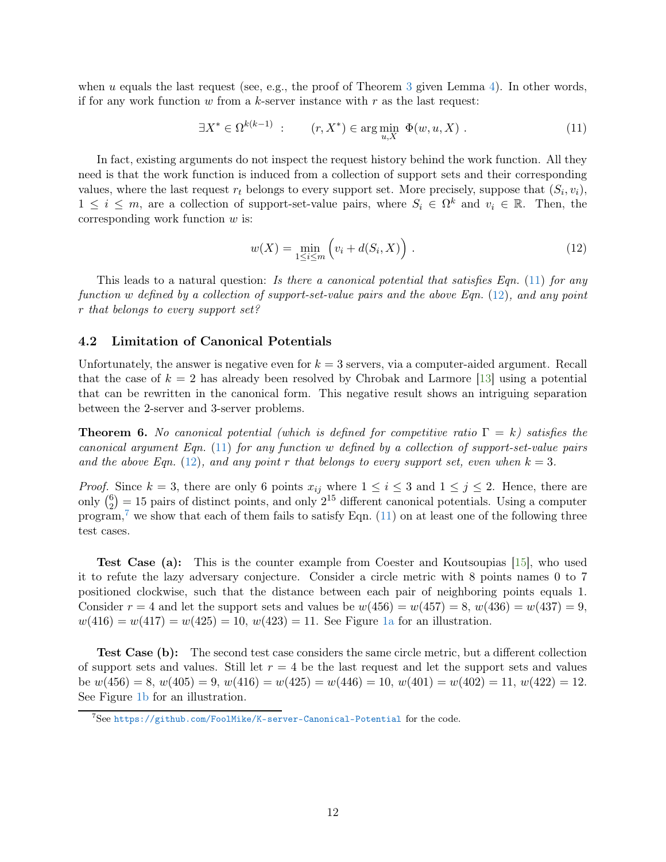when u equals the last request (see, e.g., the proof of Theorem [3](#page-4-6) given Lemma [4\)](#page-5-0). In other words, if for any work function  $w$  from a  $k$ -server instance with  $r$  as the last request:

$$
\exists X^* \in \Omega^{k(k-1)} : \qquad (r, X^*) \in \arg\min_{u, X} \ \Phi(w, u, X) . \tag{11}
$$

In fact, existing arguments do not inspect the request history behind the work function. All they need is that the work function is induced from a collection of support sets and their corresponding values, where the last request  $r_t$  belongs to every support set. More precisely, suppose that  $(S_i, v_i)$ ,  $1 \leq i \leq m$ , are a collection of support-set-value pairs, where  $S_i \in \Omega^k$  and  $v_i \in \mathbb{R}$ . Then, the corresponding work function  $w$  is:

<span id="page-12-1"></span><span id="page-12-0"></span>
$$
w(X) = \min_{1 \le i \le m} \left( v_i + d(S_i, X) \right) . \tag{12}
$$

This leads to a natural question: Is there a canonical potential that satisfies Eqn. [\(11\)](#page-12-0) for any function w defined by a collection of support-set-value pairs and the above Eqn. [\(12\)](#page-12-1), and any point r that belongs to every support set?

## 4.2 Limitation of Canonical Potentials

Unfortunately, the answer is negative even for  $k = 3$  servers, via a computer-aided argument. Recall that the case of  $k = 2$  has already been resolved by Chrobak and Larmore [\[13\]](#page-14-7) using a potential that can be rewritten in the canonical form. This negative result shows an intriguing separation between the 2-server and 3-server problems.

<span id="page-12-3"></span>**Theorem 6.** No canonical potential (which is defined for competitive ratio  $\Gamma = k$ ) satisfies the canonical argument Eqn.  $(11)$  for any function w defined by a collection of support-set-value pairs and the above Eqn. [\(12\)](#page-12-1), and any point r that belongs to every support set, even when  $k = 3$ .

*Proof.* Since  $k = 3$ , there are only 6 points  $x_{ij}$  where  $1 \leq i \leq 3$  and  $1 \leq j \leq 2$ . Hence, there are only  $\binom{6}{2}$  $\binom{6}{2}$  = 15 pairs of distinct points, and only  $2^{15}$  different canonical potentials. Using a computer program,<sup>[7](#page-12-2)</sup> we show that each of them fails to satisfy Eqn.  $(11)$  on at least one of the following three test cases.

Test Case (a): This is the counter example from Coester and Koutsoupias [\[15](#page-14-6)], who used it to refute the lazy adversary conjecture. Consider a circle metric with 8 points names 0 to 7 positioned clockwise, such that the distance between each pair of neighboring points equals 1. Consider  $r = 4$  and let the support sets and values be  $w(456) = w(457) = 8$ ,  $w(436) = w(437) = 9$ ,  $w(416) = w(417) = w(425) = 10$ ,  $w(423) = 11$ . See Figure [1a](#page-13-6) for an illustration.

Test Case (b): The second test case considers the same circle metric, but a different collection of support sets and values. Still let  $r = 4$  be the last request and let the support sets and values be  $w(456) = 8$ ,  $w(405) = 9$ ,  $w(416) = w(425) = w(446) = 10$ ,  $w(401) = w(402) = 11$ ,  $w(422) = 12$ . See Figure [1b](#page-13-6) for an illustration.

<span id="page-12-2"></span> $^7$ See <https://github.com/FoolMike/K-server-Canonical-Potential> for the code.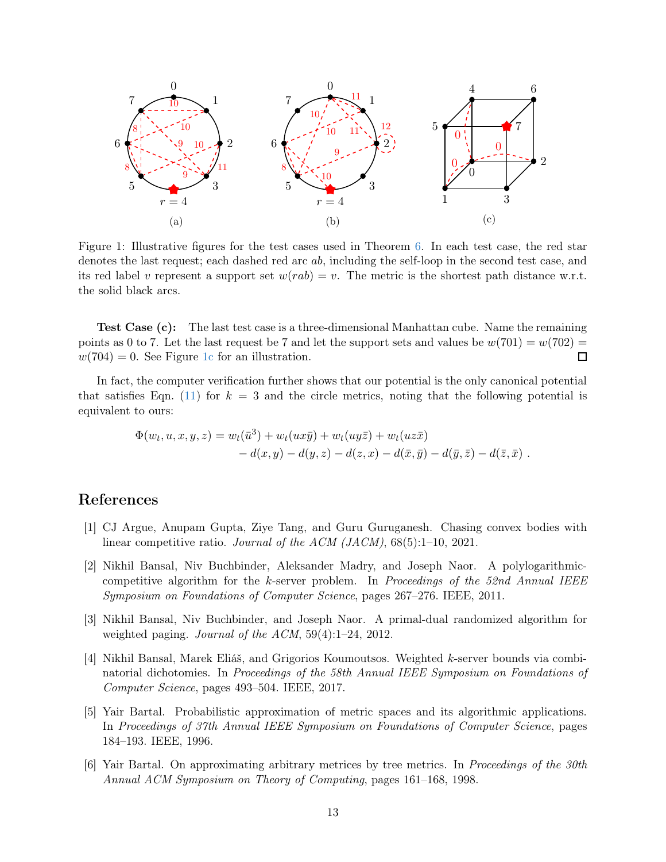<span id="page-13-6"></span>

Figure 1: Illustrative figures for the test cases used in Theorem [6.](#page-12-3) In each test case, the red star denotes the last request; each dashed red arc ab, including the self-loop in the second test case, and its red label v represent a support set  $w(rab) = v$ . The metric is the shortest path distance w.r.t. the solid black arcs.

Test Case (c): The last test case is a three-dimensional Manhattan cube. Name the remaining points as 0 to 7. Let the last request be 7 and let the support sets and values be  $w(701) = w(702) =$  $w(704) = 0$ . See Figure [1c](#page-13-6) for an illustration.  $\Box$ 

In fact, the computer verification further shows that our potential is the only canonical potential that satisfies Eqn. [\(11\)](#page-12-0) for  $k = 3$  and the circle metrics, noting that the following potential is equivalent to ours:

$$
\Phi(w_t, u, x, y, z) = w_t(\bar{u}^3) + w_t(ux\bar{y}) + w_t(uy\bar{z}) + w_t(uz\bar{x}) \n- d(x, y) - d(y, z) - d(z, x) - d(\bar{x}, \bar{y}) - d(\bar{y}, \bar{z}) - d(\bar{z}, \bar{x}) .
$$

# References

- <span id="page-13-5"></span>[1] CJ Argue, Anupam Gupta, Ziye Tang, and Guru Guruganesh. Chasing convex bodies with linear competitive ratio. Journal of the ACM (JACM),  $68(5):1-10$ ,  $2021$ .
- <span id="page-13-1"></span>[2] Nikhil Bansal, Niv Buchbinder, Aleksander Madry, and Joseph Naor. A polylogarithmiccompetitive algorithm for the  $k$ -server problem. In Proceedings of the 52nd Annual IEEE Symposium on Foundations of Computer Science, pages 267–276. IEEE, 2011.
- <span id="page-13-0"></span>[3] Nikhil Bansal, Niv Buchbinder, and Joseph Naor. A primal-dual randomized algorithm for weighted paging. Journal of the ACM, 59(4):1–24, 2012.
- <span id="page-13-4"></span>[4] Nikhil Bansal, Marek Eliáš, and Grigorios Koumoutsos. Weighted k-server bounds via combinatorial dichotomies. In Proceedings of the 58th Annual IEEE Symposium on Foundations of Computer Science, pages 493–504. IEEE, 2017.
- <span id="page-13-2"></span>[5] Yair Bartal. Probabilistic approximation of metric spaces and its algorithmic applications. In Proceedings of 37th Annual IEEE Symposium on Foundations of Computer Science, pages 184–193. IEEE, 1996.
- <span id="page-13-3"></span>[6] Yair Bartal. On approximating arbitrary metrices by tree metrics. In Proceedings of the 30th Annual ACM Symposium on Theory of Computing, pages 161–168, 1998.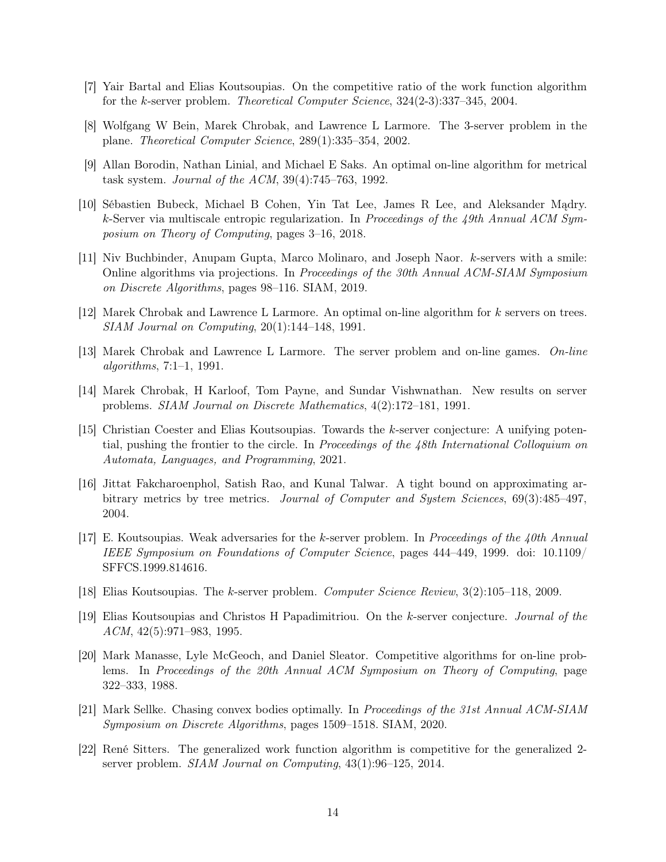- <span id="page-14-5"></span>[7] Yair Bartal and Elias Koutsoupias. On the competitive ratio of the work function algorithm for the k-server problem. Theoretical Computer Science, 324(2-3):337–345, 2004.
- <span id="page-14-4"></span>[8] Wolfgang W Bein, Marek Chrobak, and Lawrence L Larmore. The 3-server problem in the plane. Theoretical Computer Science, 289(1):335–354, 2002.
- <span id="page-14-11"></span>[9] Allan Borodin, Nathan Linial, and Michael E Saks. An optimal on-line algorithm for metrical task system. Journal of the ACM, 39(4):745–763, 1992.
- <span id="page-14-8"></span>[10] Sébastien Bubeck, Michael B Cohen, Yin Tat Lee, James R Lee, and Aleksander Mądry. k-Server via multiscale entropic regularization. In Proceedings of the 49th Annual ACM Symposium on Theory of Computing, pages 3–16, 2018.
- <span id="page-14-10"></span>[11] Niv Buchbinder, Anupam Gupta, Marco Molinaro, and Joseph Naor. k-servers with a smile: Online algorithms via projections. In Proceedings of the 30th Annual ACM-SIAM Symposium on Discrete Algorithms, pages 98–116. SIAM, 2019.
- <span id="page-14-3"></span>[12] Marek Chrobak and Lawrence L Larmore. An optimal on-line algorithm for k servers on trees. SIAM Journal on Computing, 20(1):144–148, 1991.
- <span id="page-14-7"></span>[13] Marek Chrobak and Lawrence L Larmore. The server problem and on-line games. On-line algorithms, 7:1–1, 1991.
- <span id="page-14-2"></span>[14] Marek Chrobak, H Karloof, Tom Payne, and Sundar Vishwnathan. New results on server problems. SIAM Journal on Discrete Mathematics, 4(2):172–181, 1991.
- <span id="page-14-6"></span>[15] Christian Coester and Elias Koutsoupias. Towards the k-server conjecture: A unifying potential, pushing the frontier to the circle. In Proceedings of the  $\lambda 8th$  International Colloquium on Automata, Languages, and Programming, 2021.
- <span id="page-14-9"></span>[16] Jittat Fakcharoenphol, Satish Rao, and Kunal Talwar. A tight bound on approximating arbitrary metrics by tree metrics. Journal of Computer and System Sciences, 69(3):485–497, 2004.
- <span id="page-14-15"></span>[17] E. Koutsoupias. Weak adversaries for the k-server problem. In Proceedings of the 40th Annual IEEE Symposium on Foundations of Computer Science, pages 444–449, 1999. doi: 10.1109/ SFFCS.1999.814616.
- <span id="page-14-14"></span>[18] Elias Koutsoupias. The k-server problem. Computer Science Review, 3(2):105–118, 2009.
- <span id="page-14-1"></span>[19] Elias Koutsoupias and Christos H Papadimitriou. On the k-server conjecture. Journal of the  $ACM$ ,  $42(5):971-983$ , 1995.
- <span id="page-14-0"></span>[20] Mark Manasse, Lyle McGeoch, and Daniel Sleator. Competitive algorithms for on-line problems. In Proceedings of the 20th Annual ACM Symposium on Theory of Computing, page 322–333, 1988.
- <span id="page-14-13"></span>[21] Mark Sellke. Chasing convex bodies optimally. In Proceedings of the 31st Annual ACM-SIAM Symposium on Discrete Algorithms, pages 1509–1518. SIAM, 2020.
- <span id="page-14-12"></span>[22] René Sitters. The generalized work function algorithm is competitive for the generalized 2 server problem. SIAM Journal on Computing, 43(1):96–125, 2014.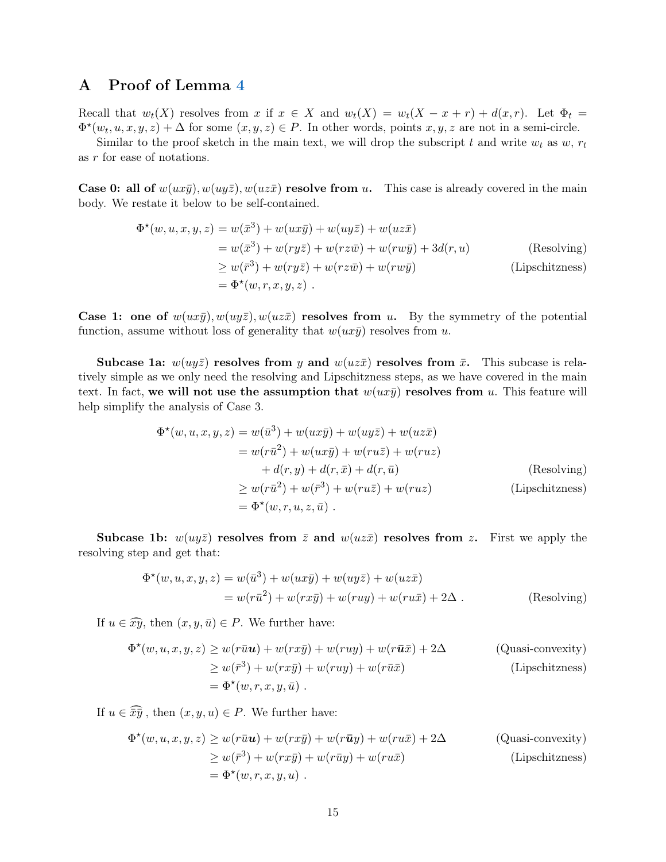# <span id="page-15-0"></span>A Proof of Lemma [4](#page-5-0)

Recall that  $w_t(X)$  resolves from x if  $x \in X$  and  $w_t(X) = w_t(X - x + r) + d(x,r)$ . Let  $\Phi_t =$  $\Phi^{\star}(w_t, u, x, y, z) + \Delta$  for some  $(x, y, z) \in P$ . In other words, points  $x, y, z$  are not in a semi-circle.

Similar to the proof sketch in the main text, we will drop the subscript t and write  $w_t$  as  $w, r_t$ as r for ease of notations.

**Case 0: all of**  $w(ux\bar{y})$ ,  $w(uy\bar{z})$ ,  $w(uz\bar{x})$  **resolve from u.** This case is already covered in the main body. We restate it below to be self-contained.

$$
\Phi^{\star}(w, u, x, y, z) = w(\bar{x}^{3}) + w(ux\bar{y}) + w(uy\bar{z}) + w(uz\bar{x})
$$
  
\n
$$
= w(\bar{x}^{3}) + w(ry\bar{z}) + w(rz\bar{w}) + w(rw\bar{y}) + 3d(r, u)
$$
 (Resolving)  
\n
$$
\geq w(\bar{r}^{3}) + w(ry\bar{z}) + w(rz\bar{w}) + w(rw\bar{y})
$$
 (Lipschitzness)  
\n
$$
= \Phi^{\star}(w, r, x, y, z).
$$

Case 1: one of  $w(ux\bar{y})$ ,  $w(uy\bar{z})$ ,  $w(uz\bar{x})$  resolves from u. By the symmetry of the potential function, assume without loss of generality that  $w(ux\bar{y})$  resolves from u.

Subcase 1a:  $w(uy\bar{z})$  resolves from y and  $w(uz\bar{x})$  resolves from  $\bar{x}$ . This subcase is relatively simple as we only need the resolving and Lipschitzness steps, as we have covered in the main text. In fact, we will not use the assumption that  $w(ux\bar{y})$  resolves from u. This feature will help simplify the analysis of Case 3.

$$
\Phi^{\star}(w, u, x, y, z) = w(\bar{u}^{3}) + w(ux\bar{y}) + w(uy\bar{z}) + w(uz\bar{x})
$$
  
\n
$$
= w(r\bar{u}^{2}) + w(ux\bar{y}) + w(ru\bar{z}) + w(ruz)
$$
  
\n
$$
+ d(r, y) + d(r, \bar{x}) + d(r, \bar{u})
$$
 (Resolving)  
\n
$$
\geq w(r\bar{u}^{2}) + w(\bar{r}^{3}) + w(ru\bar{z}) + w(ruz)
$$
 (Lipschitzness)  
\n
$$
= \Phi^{\star}(w, r, u, z, \bar{u}).
$$

Subcase 1b:  $w(uy\bar{z})$  resolves from  $\bar{z}$  and  $w(uz\bar{x})$  resolves from z. First we apply the resolving step and get that:

$$
\Phi^*(w, u, x, y, z) = w(\bar{u}^3) + w(ux\bar{y}) + w(uy\bar{z}) + w(uz\bar{x})
$$
  
= 
$$
w(r\bar{u}^2) + w(rx\bar{y}) + w(ruy) + w(ru\bar{x}) + 2\Delta
$$
. (Resolving)

If  $u \in \widehat{xy}$ , then  $(x, y, \bar{u}) \in P$ . We further have:

$$
\Phi^{\star}(w, u, x, y, z) \ge w(r\bar{u}u) + w(rx\bar{y}) + w(ruy) + w(r\bar{u}\bar{x}) + 2\Delta
$$
 (Quasi-convexity)  
\n
$$
\ge w(\bar{r}^3) + w(rx\bar{y}) + w(ruy) + w(r\bar{u}\bar{x})
$$
 (Lipschitzness)  
\n
$$
= \Phi^{\star}(w, r, x, y, \bar{u}).
$$

If  $u \in \widehat{\overline{xy}}$ , then  $(x, y, u) \in P$ . We further have:

$$
\Phi^{\star}(w, u, x, y, z) \ge w(r\bar{u}u) + w(rx\bar{y}) + w(r\bar{u}y) + w(ru\bar{x}) + 2\Delta
$$
 (Quasi-convexity)  
\n
$$
\ge w(\bar{r}^3) + w(rx\bar{y}) + w(r\bar{u}y) + w(ru\bar{x})
$$
 (Lipschitzness)  
\n
$$
= \Phi^{\star}(w, r, x, y, u).
$$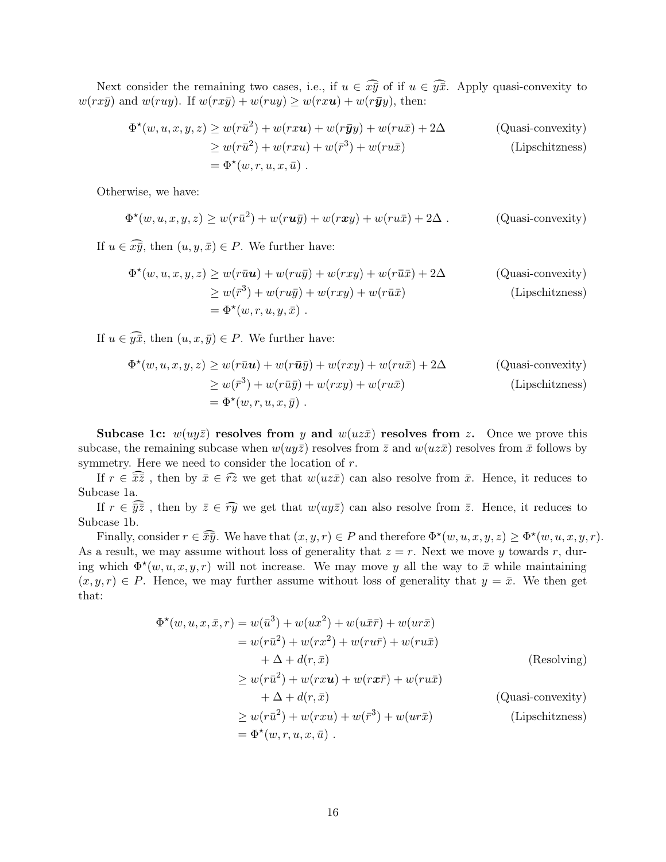Next consider the remaining two cases, i.e., if  $u \in \widehat{x}\overline{y}$  of if  $u \in \widehat{y}\overline{x}$ . Apply quasi-convexity to  $w(rx\bar{y})$  and  $w(ruy)$ . If  $w(rx\bar{y}) + w(ruy) \geq w(rxu) + w(r\bar{y}y)$ , then:

$$
\Phi^{\star}(w, u, x, y, z) \ge w(r\bar{u}^2) + w(rxu) + w(r\bar{y}y) + w(ru\bar{x}) + 2\Delta
$$
 (Quasi-convexity)  
\n
$$
\ge w(r\bar{u}^2) + w(rxu) + w(\bar{y}^3) + w(ru\bar{x})
$$
 (Lipschitzness)  
\n
$$
= \Phi^{\star}(w, r, u, x, \bar{u}).
$$

Otherwise, we have:

$$
\Phi^{\star}(w, u, x, y, z) \ge w(r\bar{u}^2) + w(ru\bar{y}) + w(rxy) + w(ru\bar{x}) + 2\Delta.
$$
 (Quasi-convexity)

If  $u \in \widehat{x\bar{y}}$ , then  $(u, y, \bar{x}) \in P$ . We further have:

$$
\Phi^{\star}(w, u, x, y, z) \ge w(r\bar{u}u) + w(ru\bar{y}) + w(rxy) + w(r\bar{u}\bar{x}) + 2\Delta
$$
 (Quasi-convexity)  
\n
$$
\ge w(\bar{r}^3) + w(ru\bar{y}) + w(rxy) + w(r\bar{u}\bar{x})
$$
 (Lipschitzness)  
\n
$$
= \Phi^{\star}(w, r, u, y, \bar{x}).
$$

If  $u \in \widehat{y\overline{x}}$ , then  $(u, x, \overline{y}) \in P$ . We further have:

$$
\Phi^{\star}(w, u, x, y, z) \ge w(r\bar{u}u) + w(r\bar{u}\bar{y}) + w(rxy) + w(ru\bar{x}) + 2\Delta
$$
 (Quasi-convexity)  
\n
$$
\ge w(\bar{r}^3) + w(r\bar{u}\bar{y}) + w(rxy) + w(ru\bar{x})
$$
 (Lipschitzness)  
\n
$$
= \Phi^{\star}(w, r, u, x, \bar{y}).
$$

Subcase 1c:  $w(uy\bar{z})$  resolves from y and  $w(uz\bar{x})$  resolves from z. Once we prove this subcase, the remaining subcase when  $w(uy\overline{z})$  resolves from  $\overline{z}$  and  $w(uz\overline{x})$  resolves from  $\overline{x}$  follows by symmetry. Here we need to consider the location of  $r$ .

If  $r \in \overline{x}\overline{z}$ , then by  $\overline{x} \in \widehat{r}z$  we get that  $w(uz\overline{x})$  can also resolve from  $\overline{x}$ . Hence, it reduces to Subcase 1a.

If  $r \in \widehat{yz}$ , then by  $\overline{z} \in \widehat{ry}$  we get that  $w(uy\overline{z})$  can also resolve from  $\overline{z}$ . Hence, it reduces to Subcase 1b.

Finally, consider  $r \in \widehat{\overline{xy}}$ . We have that  $(x, y, r) \in P$  and therefore  $\Phi^{\star}(w, u, x, y, z) \ge \Phi^{\star}(w, u, x, y, r)$ . As a result, we may assume without loss of generality that  $z = r$ . Next we move y towards r, during which  $\Phi^*(w, u, x, y, r)$  will not increase. We may move y all the way to  $\bar{x}$  while maintaining  $(x, y, r) \in P$ . Hence, we may further assume without loss of generality that  $y = \bar{x}$ . We then get that:

$$
\Phi^{\star}(w, u, x, \bar{x}, r) = w(\bar{u}^{3}) + w(ux^{2}) + w(ux\bar{r}) + w(ur\bar{x})
$$
  
\n
$$
= w(r\bar{u}^{2}) + w(rx^{2}) + w(ru\bar{r}) + w(ru\bar{x})
$$
  
\n
$$
+ \Delta + d(r, \bar{x})
$$
  
\n
$$
\geq w(r\bar{u}^{2}) + w(rxu) + w(rx\bar{r}) + w(ru\bar{x})
$$
  
\n
$$
+ \Delta + d(r, \bar{x})
$$
  
\n
$$
\geq w(r\bar{u}^{2}) + w(rxu) + w(\bar{r}^{3}) + w(ur\bar{x})
$$
  
\n
$$
= \Phi^{\star}(w, r, u, x, \bar{u}).
$$
  
\n(Dipschitzness)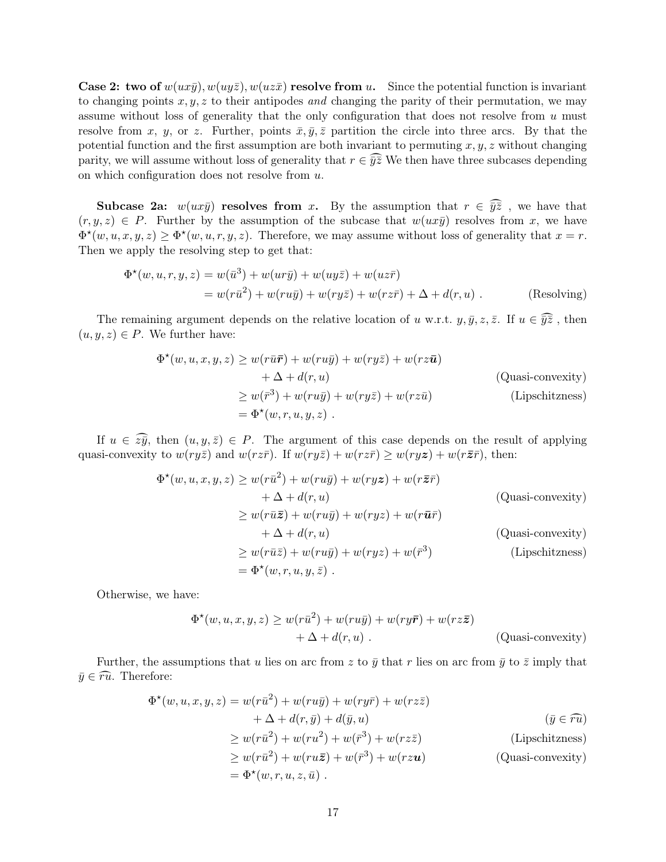**Case 2: two of**  $w(ux\bar{y})$ ,  $w(uy\bar{z})$ ,  $w(uz\bar{x})$  **resolve from u.** Since the potential function is invariant to changing points  $x, y, z$  to their antipodes and changing the parity of their permutation, we may assume without loss of generality that the only configuration that does not resolve from  $u$  must resolve from x, y, or z. Further, points  $\bar{x}, \bar{y}, \bar{z}$  partition the circle into three arcs. By that the potential function and the first assumption are both invariant to permuting  $x, y, z$  without changing parity, we will assume without loss of generality that  $r \in \widehat{yz}$ . We then have three subcases depending on which configuration does not resolve from u.

**Subcase 2a:**  $w(ux\bar{y})$  resolves from x. By the assumption that  $r \in \widehat{y}\overline{z}$ , we have that  $(r, y, z) \in P$ . Further by the assumption of the subcase that  $w(ux\bar{y})$  resolves from x, we have  $\Phi^{\star}(w,u,x,y,z) \geq \Phi^{\star}(w,u,r,y,z)$ . Therefore, we may assume without loss of generality that  $x = r$ . Then we apply the resolving step to get that:

$$
\Phi^{\star}(w, u, r, y, z) = w(\bar{u}^{3}) + w(ur\bar{y}) + w(uy\bar{z}) + w(uz\bar{r})
$$
  
= 
$$
w(r\bar{u}^{2}) + w(ru\bar{y}) + w(ry\bar{z}) + w(rz\bar{r}) + \Delta + d(r, u)
$$
 (Resolving)

The remaining argument depends on the relative location of u w.r.t.  $y, \bar{y}, z, \bar{z}$ . If  $u \in \widehat{y\overline{z}}$ , then  $(u, y, z) \in P$ . We further have:

$$
\Phi^{\star}(w, u, x, y, z) \ge w(r\bar{u}\bar{r}) + w(ru\bar{y}) + w(ry\bar{z}) + w(rz\bar{u})
$$
  
+  $\Delta + d(r, u)$  (Quasi-convexity)  

$$
\ge w(\bar{r}^3) + w(ru\bar{y}) + w(ry\bar{z}) + w(rz\bar{u})
$$
 (Lipschitzness)  
=  $\Phi^{\star}(w, r, u, y, z)$ .

If  $u \in \widehat{z}\overline{\widehat{y}}$ , then  $(u, y, \overline{z}) \in P$ . The argument of this case depends on the result of applying quasi-convexity to  $w(ry\bar{z})$  and  $w(rz\bar{r})$ . If  $w(ry\bar{z}) + w(rz\bar{r}) \geq w(ryz) + w(r\bar{z}\bar{r})$ , then:

$$
\Phi^{\star}(w, u, x, y, z) \ge w(r\bar{u}^{2}) + w(ru\bar{y}) + w(ryz) + w(r\bar{z}\bar{r})
$$
  
\n
$$
+ \Delta + d(r, u)
$$
 (Quasi-convexity)  
\n
$$
\ge w(r\bar{u}\bar{z}) + w(ru\bar{y}) + w(ryz) + w(r\bar{u}\bar{r})
$$
  
\n
$$
+ \Delta + d(r, u)
$$
 (Quasi-convexity)  
\n
$$
\ge w(r\bar{u}\bar{z}) + w(ru\bar{y}) + w(ryz) + w(\bar{r}^{3})
$$
 (Lipschitzness)  
\n
$$
= \Phi^{\star}(w, r, u, y, \bar{z}).
$$

Otherwise, we have:

$$
\Phi^*(w, u, x, y, z) \ge w(r\bar{u}^2) + w(ru\bar{y}) + w(ry\bar{r}) + w(rz\bar{z})
$$
  
+  $\Delta + d(r, u)$ . (Quasi-convexity)

Further, the assumptions that u lies on arc from z to  $\bar{y}$  that r lies on arc from  $\bar{y}$  to  $\bar{z}$  imply that  $\bar{y} \in \widehat{ru}$ . Therefore:

$$
\Phi^{\star}(w, u, x, y, z) = w(r\bar{u}^{2}) + w(ru\bar{y}) + w(ry\bar{r}) + w(rz\bar{z})
$$
  
\n
$$
+ \Delta + d(r, \bar{y}) + d(\bar{y}, u)
$$
( $\bar{y} \in \widehat{ru}$ )  
\n
$$
\geq w(r\bar{u}^{2}) + w(ru^{2}) + w(\bar{r}^{3}) + w(rz\bar{z})
$$
(Lipschitzness)  
\n
$$
\geq w(r\bar{u}^{2}) + w(ru\bar{z}) + w(\bar{r}^{3}) + w(rzu)
$$
(Quasi-convexity)  
\n
$$
= \Phi^{\star}(w, r, u, z, \bar{u}).
$$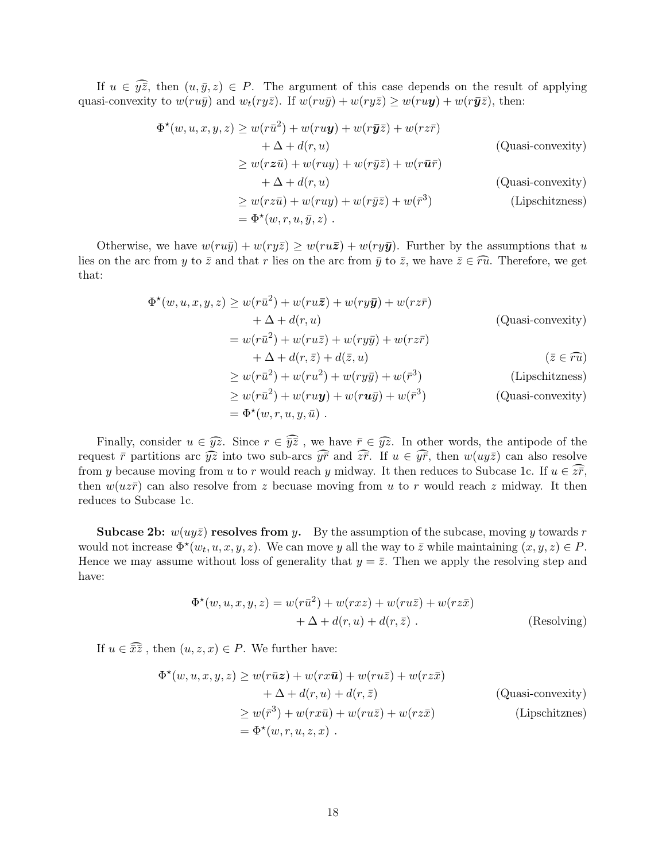If  $u \in \widehat{y\overline{z}}$ , then  $(u, \overline{y}, z) \in P$ . The argument of this case depends on the result of applying quasi-convexity to  $w(ru\bar{y})$  and  $w_t(ry\bar{z})$ . If  $w(ru\bar{y}) + w(ry\bar{z}) \geq w(ru\mathbf{y}) + w(r\bar{y}\bar{z})$ , then:

$$
\Phi^{\star}(w, u, x, y, z) \ge w(r\bar{u}^{2}) + w(ru\mathbf{y}) + w(r\bar{y}\bar{z}) + w(rz\bar{r})
$$
\n
$$
+ \Delta + d(r, u)
$$
\n
$$
\ge w(rz\bar{u}) + w(ruy) + w(r\bar{y}\bar{z}) + w(r\bar{u}\bar{r})
$$
\n
$$
+ \Delta + d(r, u)
$$
\n(Quasi-convexity)\n
$$
\ge w(rz\bar{u}) + w(ruy) + w(r\bar{y}\bar{z}) + w(\bar{r}^{3})
$$
\n(Quasi-convexity)\n
$$
= \Phi^{\star}(w, r, u, \bar{y}, z).
$$
\n(Dipschitzness)

Otherwise, we have  $w(ru\bar{y}) + w(ry\bar{z}) \geq w(ru\bar{z}) + w(ry\bar{y})$ . Further by the assumptions that u lies on the arc from y to  $\bar{z}$  and that r lies on the arc from  $\bar{y}$  to  $\bar{z}$ , we have  $\bar{z}\in\widehat{ru}$ . Therefore, we get that:

$$
\Phi^*(w, u, x, y, z) \ge w(r\bar{u}^2) + w(ru\bar{z}) + w(ry\bar{y}) + w(rz\bar{r})
$$
\n
$$
+ \Delta + d(r, u)
$$
\n(Quasi-convexity)\n
$$
= w(r\bar{u}^2) + w(ru\bar{z}) + w(ry\bar{y}) + w(rz\bar{r})
$$
\n
$$
+ \Delta + d(r, \bar{z}) + d(\bar{z}, u)
$$
\n
$$
\ge w(r\bar{u}^2) + w(ru^2) + w(ry\bar{y}) + w(\bar{r}^3)
$$
\n
$$
\ge w(r\bar{u}^2) + w(ru\bar{y}) + w(ru\bar{y}) + w(\bar{r}^3)
$$
\n(Quasi-convexity)\n
$$
= \Phi^*(w, r, u, y, \bar{u}).
$$
\n(Quasi-convexity)

Finally, consider  $u \in \widehat{yz}$ . Since  $r \in \widehat{yz}$ , we have  $\overline{r} \in \widehat{yz}$ . In other words, the antipode of the request  $\bar{r}$  partitions arc  $\widehat{yz}$  into two sub-arcs  $\widehat{y}$  and  $\widehat{z}\overline{r}$ . If  $u \in \widehat{y}\overline{r}$ , then  $w(uy\overline{z})$  can also resolve from y because moving from u to r would reach y midway. It then reduces to Subcase 1c. If  $u \in \widetilde{z\overline{r}}$ , then  $w(uz\bar{r})$  can also resolve from z becuase moving from u to r would reach z midway. It then reduces to Subcase 1c.

Subcase 2b:  $w(uy\bar{z})$  resolves from y. By the assumption of the subcase, moving y towards r would not increase  $\Phi^*(w_t, u, x, y, z)$ . We can move y all the way to  $\bar{z}$  while maintaining  $(x, y, z) \in P$ . Hence we may assume without loss of generality that  $y = \overline{z}$ . Then we apply the resolving step and have:

$$
\Phi^{\star}(w, u, x, y, z) = w(r\bar{u}^2) + w(rxz) + w(ru\bar{z}) + w(rz\bar{x})
$$
  
+  $\Delta + d(r, u) + d(r, \bar{z})$ . (Resolving)

If  $u \in \widehat{\bar{x}\bar{z}}$ , then  $(u, z, x) \in P$ . We further have:

$$
\Phi^{\star}(w, u, x, y, z) \ge w(r\bar{u}z) + w(rx\bar{u}) + w(ru\bar{z}) + w(rz\bar{x})
$$
  
+  $\Delta + d(r, u) + d(r, \bar{z})$  (Quasi-convexity)  

$$
\ge w(\bar{r}^3) + w(rx\bar{u}) + w(ru\bar{z}) + w(rz\bar{x})
$$
 (Lipschitznes)  
=  $\Phi^{\star}(w, r, u, z, x)$ .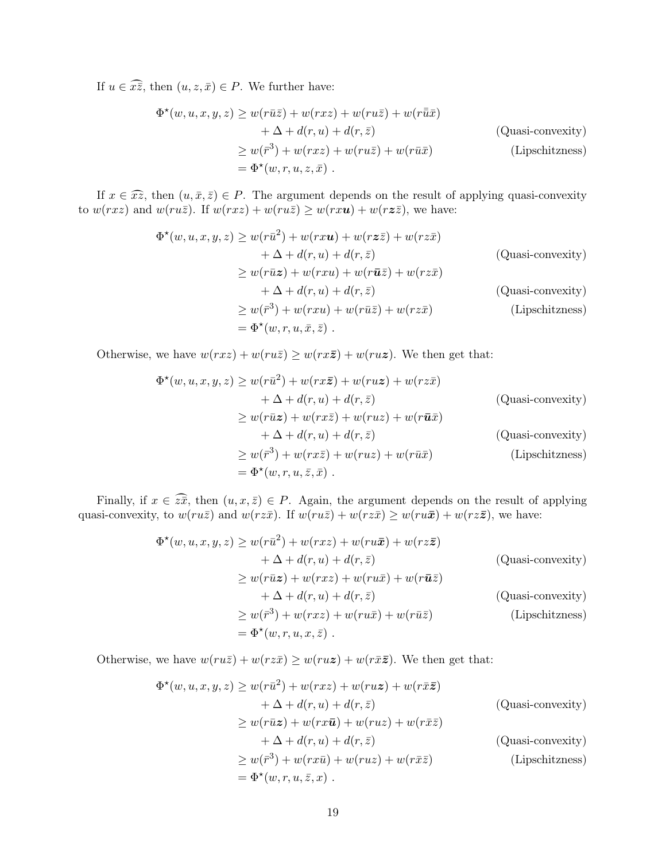If  $u \in \widehat{xz}$ , then  $(u, z, \bar{x}) \in P$ . We further have:

$$
\Phi^{\star}(w, u, x, y, z) \ge w(r\bar{u}\bar{z}) + w(rxz) + w(ru\bar{z}) + w(r\bar{\bar{u}}\bar{x})
$$
  
+  $\Delta + d(r, u) + d(r, \bar{z})$  (Quasi-convexity)  

$$
\ge w(\bar{r}^{3}) + w(rxz) + w(ru\bar{z}) + w(r\bar{u}\bar{x})
$$
 (Lipschitzness)  
=  $\Phi^{\star}(w, r, u, z, \bar{x})$ .

If  $x \in \widehat{xz}$ , then  $(u, \bar{x}, \bar{z}) \in P$ . The argument depends on the result of applying quasi-convexity to  $w(rxz)$  and  $w(ru\overline{z})$ . If  $w(rxz) + w(ru\overline{z}) \geq w(rxu) + w(rz\overline{z})$ , we have:

$$
\Phi^{\star}(w, u, x, y, z) \ge w(r\bar{u}^{2}) + w(rxu) + w(rz\bar{z}) + w(rz\bar{x})
$$
  
\n
$$
+ \Delta + d(r, u) + d(r, \bar{z})
$$
 (Quasi-convexity)  
\n
$$
\ge w(r\bar{u}z) + w(rxu) + w(r\bar{u}\bar{z}) + w(rz\bar{x})
$$
  
\n
$$
+ \Delta + d(r, u) + d(r, \bar{z})
$$
 (Quasi-convexity)  
\n
$$
\ge w(\bar{r}^{3}) + w(rxu) + w(r\bar{u}\bar{z}) + w(rz\bar{x})
$$
 (Lipschitzness)  
\n
$$
= \Phi^{\star}(w, r, u, \bar{x}, \bar{z}).
$$

Otherwise, we have  $w(rxz) + w(ru\overline{z}) \geq w(rx\overline{z}) + w(ru\overline{z})$ . We then get that:

$$
\Phi^{\star}(w, u, x, y, z) \ge w(r\bar{u}^{2}) + w(rx\bar{z}) + w(rx\bar{z}) + w(rz\bar{x})
$$
  
\n
$$
+ \Delta + d(r, u) + d(r, \bar{z})
$$
 (Quasi-convexity)  
\n
$$
\ge w(r\bar{u}z) + w(rx\bar{z}) + w(ruz) + w(r\bar{u}\bar{x})
$$
  
\n
$$
+ \Delta + d(r, u) + d(r, \bar{z})
$$
 (Quasi-convexity)  
\n
$$
\ge w(\bar{r}^{3}) + w(rx\bar{z}) + w(rxz) + w(r\bar{u}\bar{x})
$$
 (Lipschitzness)  
\n
$$
= \Phi^{\star}(w, r, u, \bar{z}, \bar{x}).
$$

Finally, if  $x \in \widehat{z\overline{x}}$ , then  $(u, x, \overline{z}) \in P$ . Again, the argument depends on the result of applying quasi-convexity, to  $w(ru\bar{z})$  and  $w(rz\bar{x})$ . If  $w(ru\bar{z}) + w(rz\bar{x}) \ge w(ru\bar{x}) + w(rz\bar{z})$ , we have:

$$
\Phi^{\star}(w, u, x, y, z) \ge w(r\bar{u}^{2}) + w(rxz) + w(ru\bar{x}) + w(rz\bar{z})
$$
  
\n
$$
+ \Delta + d(r, u) + d(r, \bar{z})
$$
 (Quasi-convexity)  
\n
$$
\ge w(r\bar{u}z) + w(rxz) + w(ru\bar{x}) + w(r\bar{u}\bar{z})
$$
  
\n
$$
+ \Delta + d(r, u) + d(r, \bar{z})
$$
 (Quasi-convexity)  
\n
$$
\ge w(\bar{r}^{3}) + w(rxz) + w(ru\bar{x}) + w(r\bar{u}\bar{z})
$$
 (Lipschitzness)  
\n
$$
= \Phi^{\star}(w, r, u, x, \bar{z}).
$$

Otherwise, we have  $w(ru\bar{z}) + w(rz\bar{x}) \geq w(ru\bar{z}) + w(r\bar{x}\bar{z})$ . We then get that:

$$
\Phi^{\star}(w, u, x, y, z) \ge w(r\bar{u}^{2}) + w(rxz) + w(ruz) + w(r\bar{x}\bar{z})
$$
  
\n
$$
+ \Delta + d(r, u) + d(r, \bar{z})
$$
 (Quasi-convexity)  
\n
$$
\ge w(r\bar{u}z) + w(rx\bar{u}) + w(ruz) + w(r\bar{x}\bar{z})
$$
  
\n
$$
+ \Delta + d(r, u) + d(r, \bar{z})
$$
 (Quasi-convexity)  
\n
$$
\ge w(\bar{r}^{3}) + w(rx\bar{u}) + w(ruz) + w(r\bar{x}\bar{z})
$$
 (Lipschitzness)  
\n
$$
= \Phi^{\star}(w, r, u, \bar{z}, x).
$$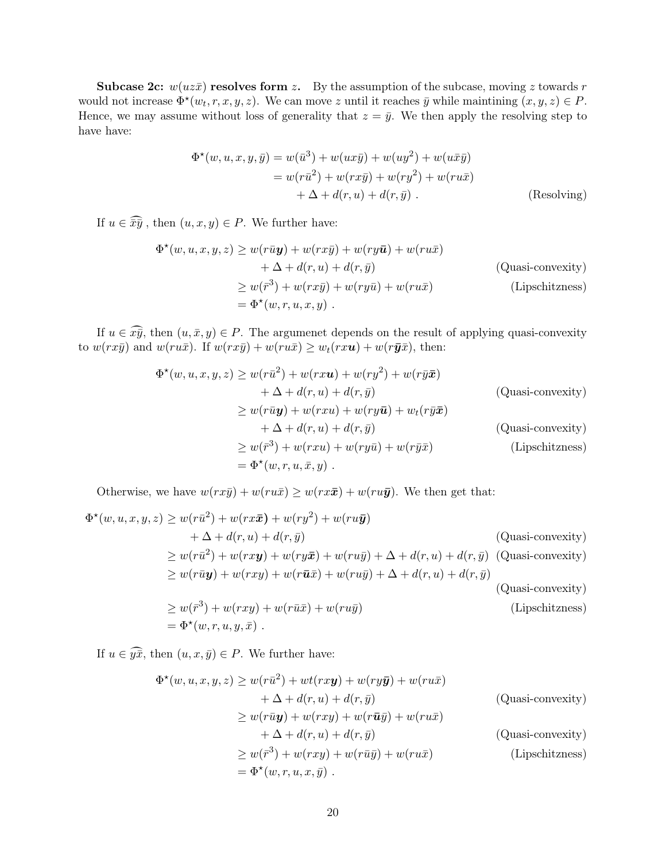**Subcase 2c:**  $w(uz\bar{x})$  resolves form z. By the assumption of the subcase, moving z towards r would not increase  $\Phi^*(w_t, r, x, y, z)$ . We can move z until it reaches  $\bar{y}$  while maintining  $(x, y, z) \in P$ . Hence, we may assume without loss of generality that  $z = \bar{y}$ . We then apply the resolving step to have have:

$$
\Phi^{\star}(w, u, x, y, \bar{y}) = w(\bar{u}^{3}) + w(ux\bar{y}) + w(uy^{2}) + w(ux\bar{y})
$$
  
= 
$$
w(r\bar{u}^{2}) + w(rx\bar{y}) + w(ry^{2}) + w(ru\bar{x})
$$

$$
+ \Delta + d(r, u) + d(r, \bar{y}).
$$
 (Resolving)

If  $u \in \widehat{\overline{xy}}$ , then  $(u, x, y) \in P$ . We further have:

$$
\Phi^{\star}(w, u, x, y, z) \ge w(r\bar{u}y) + w(rx\bar{y}) + w(ry\bar{u}) + w(ru\bar{x})
$$
  
+  $\Delta + d(r, u) + d(r, \bar{y})$  (Quasi-convexity)  

$$
\ge w(\bar{r}^3) + w(rx\bar{y}) + w(ry\bar{u}) + w(ru\bar{x})
$$
 (Lipschitzness)  
=  $\Phi^{\star}(w, r, u, x, y)$ .

If  $u \in \widehat{xy}$ , then  $(u, \bar{x}, y) \in P$ . The argumenet depends on the result of applying quasi-convexity to  $w(rx\bar{y})$  and  $w(ru\bar{x})$ . If  $w(rx\bar{y}) + w(ru\bar{x}) \geq w_t(rxu) + w(r\bar{y}\bar{x})$ , then:

$$
\Phi^{\star}(w, u, x, y, z) \ge w(r\bar{u}^2) + w(rxu) + w(ry^2) + w(r\bar{y}\bar{x})
$$
  
\n
$$
+ \Delta + d(r, u) + d(r, \bar{y})
$$
 (Quasi-convexity)  
\n
$$
\ge w(r\bar{u}y) + w(rxu) + w(ry\bar{u}) + w_t(r\bar{y}\bar{x})
$$
  
\n
$$
+ \Delta + d(r, u) + d(r, \bar{y})
$$
 (Quasi-convexity)  
\n
$$
\ge w(\bar{r}^3) + w(rxu) + w(ry\bar{u}) + w(r\bar{y}\bar{x})
$$
 (Lipschitzness)  
\n
$$
= \Phi^{\star}(w, r, u, \bar{x}, y).
$$

Otherwise, we have  $w(rx\bar{y}) + w(ru\bar{x}) \geq w(rx\bar{x}) + w(ru\bar{y})$ . We then get that:

$$
\Phi^{\star}(w, u, x, y, z) \ge w(r\bar{u}^{2}) + w(rx\bar{x}) + w(ry^{2}) + w(ru\bar{y})
$$
\n
$$
+ \Delta + d(r, u) + d(r, \bar{y})
$$
\n(Quasi-convexity)\n
$$
\ge w(r\bar{u}^{2}) + w(rxy) + w(ry\bar{x}) + w(ru\bar{y}) + \Delta + d(r, u) + d(r, \bar{y})
$$
\n(Quasi-convexity)\n
$$
\ge w(r\bar{u}y) + w(rxy) + w(r\bar{u}\bar{x}) + w(ru\bar{y}) + \Delta + d(r, u) + d(r, \bar{y})
$$
\n(Quasi-convexity)\n
$$
\ge w(\bar{r}^{3}) + w(rxy) + w(r\bar{u}\bar{x}) + w(ru\bar{y})
$$
\n(Lipschitzness)\n
$$
= \Phi^{\star}(w, r, u, y, \bar{x}).
$$

If  $u \in \widehat{y\overline{x}}$ , then  $(u, x, \overline{y}) \in P$ . We further have:

$$
\Phi^{\star}(w, u, x, y, z) \ge w(r\bar{u}^{2}) + wt(rxy) + w(ry\bar{y}) + w(ru\bar{x})
$$
  
\n
$$
+ \Delta + d(r, u) + d(r, \bar{y})
$$
 (Quasi-convexity)  
\n
$$
\ge w(r\bar{u}y) + w(rxy) + w(r\bar{u}\bar{y}) + w(ru\bar{x})
$$
  
\n
$$
+ \Delta + d(r, u) + d(r, \bar{y})
$$
 (Quasi-convexity)  
\n
$$
\ge w(\bar{r}^{3}) + w(rxy) + w(r\bar{u}\bar{y}) + w(ru\bar{x})
$$
 (Lipschitzness)  
\n
$$
= \Phi^{\star}(w, r, u, x, \bar{y}).
$$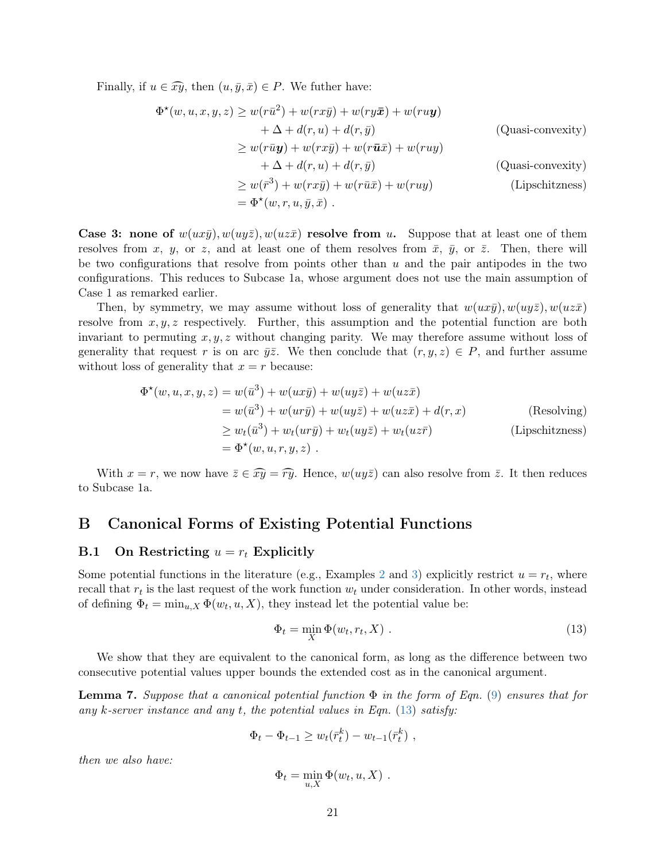Finally, if  $u \in \widehat{xy}$ , then  $(u, \bar{y}, \bar{x}) \in P$ . We futher have:

$$
\Phi^*(w, u, x, y, z) \ge w(r\bar{u}^2) + w(rx\bar{y}) + w(ry\bar{x}) + w(ru\mathbf{y})
$$
  
+  $\Delta + d(r, u) + d(r, \bar{y})$  (Quasi-convexity)  

$$
\ge w(r\bar{u}\mathbf{y}) + w(rx\bar{y}) + w(r\bar{u}\bar{x}) + w(ruy)
$$
  
+  $\Delta + d(r, u) + d(r, \bar{y})$  (Quasi-convexity)  

$$
\ge w(\bar{r}^3) + w(rx\bar{y}) + w(r\bar{u}\bar{x}) + w(ruy)
$$
 (Lipschitzness)  
=  $\Phi^*(w, r, u, \bar{y}, \bar{x})$ .

Case 3: none of  $w(ux\bar{y})$ ,  $w(uz\bar{z})$ ,  $w(uz\bar{x})$  resolve from u. Suppose that at least one of them resolves from x, y, or z, and at least one of them resolves from  $\bar{x}$ ,  $\bar{y}$ , or  $\bar{z}$ . Then, there will be two configurations that resolve from points other than  $u$  and the pair antipodes in the two configurations. This reduces to Subcase 1a, whose argument does not use the main assumption of Case 1 as remarked earlier.

Then, by symmetry, we may assume without loss of generality that  $w(ux\bar{y})$ ,  $w(uy\bar{z})$ ,  $w(uz\bar{x})$ resolve from  $x, y, z$  respectively. Further, this assumption and the potential function are both invariant to permuting  $x, y, z$  without changing parity. We may therefore assume without loss of generality that request r is on arc  $\bar{y}\bar{z}$ . We then conclude that  $(r, y, z) \in P$ , and further assume without loss of generality that  $x = r$  because:

$$
\Phi^*(w, u, x, y, z) = w(\bar{u}^3) + w(ux\bar{y}) + w(uy\bar{z}) + w(uz\bar{x})
$$
  
\n
$$
= w(\bar{u}^3) + w(ur\bar{y}) + w(uy\bar{z}) + w(uz\bar{x}) + d(r, x)
$$
 (Resolving)  
\n
$$
\geq w_t(\bar{u}^3) + w_t(ur\bar{y}) + w_t(uy\bar{z}) + w_t(uz\bar{r})
$$
 (Lipschitzness)  
\n
$$
= \Phi^*(w, u, r, y, z).
$$

With  $x = r$ , we now have  $\overline{z} \in \widehat{xy} = \widehat{ry}$ . Hence,  $w(uy\overline{z})$  can also resolve from  $\overline{z}$ . It then reduces to Subcase 1a.

## <span id="page-21-0"></span>B Canonical Forms of Existing Potential Functions

## B.1 On Restricting  $u = r_t$  Explicitly

Some potential functions in the literature (e.g., Examples [2](#page-10-1) and [3\)](#page-11-0) explicitly restrict  $u = r_t$ , where recall that  $r_t$  is the last request of the work function  $w_t$  under consideration. In other words, instead of defining  $\Phi_t = \min_{u, X} \Phi(w_t, u, X)$ , they instead let the potential value be:

<span id="page-21-1"></span>
$$
\Phi_t = \min_X \Phi(w_t, r_t, X) . \tag{13}
$$

We show that they are equivalent to the canonical form, as long as the difference between two consecutive potential values upper bounds the extended cost as in the canonical argument.

**Lemma 7.** Suppose that a canonical potential function  $\Phi$  in the form of Eqn. [\(9\)](#page-10-2) ensures that for any k-server instance and any t, the potential values in Eqn.  $(13)$  satisfy:

$$
\Phi_t - \Phi_{t-1} \ge w_t(\bar{r}_t^k) - w_{t-1}(\bar{r}_t^k) ,
$$

then we also have:

$$
\Phi_t = \min_{u,X} \Phi(w_t, u, X) .
$$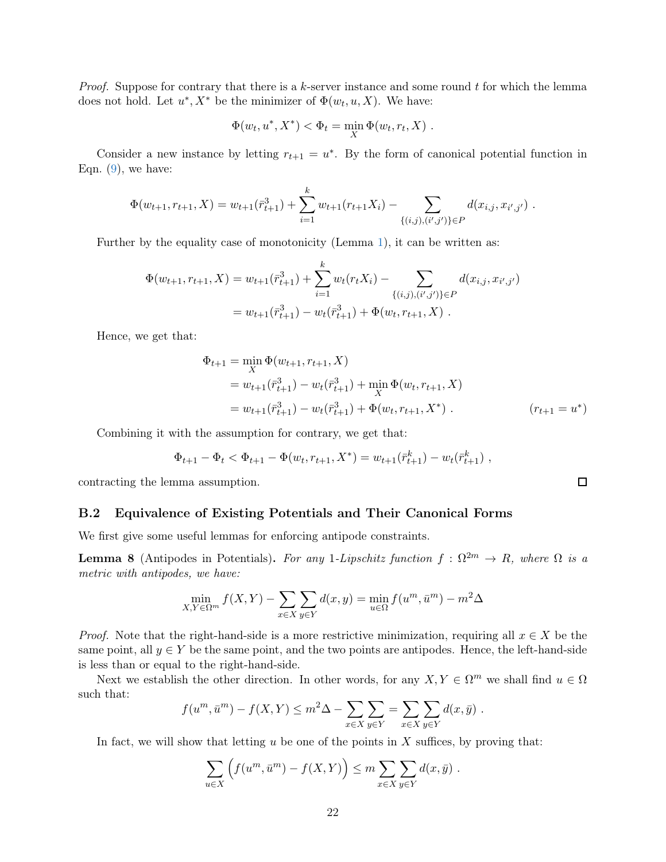*Proof.* Suppose for contrary that there is a k-server instance and some round  $t$  for which the lemma does not hold. Let  $u^*, X^*$  be the minimizer of  $\Phi(w_t, u, X)$ . We have:

$$
\Phi(w_t, u^*, X^*) < \Phi_t = \min_X \Phi(w_t, r_t, X) .
$$

Consider a new instance by letting  $r_{t+1} = u^*$ . By the form of canonical potential function in Eqn.  $(9)$ , we have:

$$
\Phi(w_{t+1}, r_{t+1}, X) = w_{t+1}(\bar{r}_{t+1}^3) + \sum_{i=1}^k w_{t+1}(r_{t+1}X_i) - \sum_{\{(i,j), (i',j')\} \in P} d(x_{i,j}, x_{i',j'}) .
$$

Further by the equality case of monotonicity (Lemma [1\)](#page-3-2), it can be written as:

$$
\Phi(w_{t+1}, r_{t+1}, X) = w_{t+1}(\bar{r}_{t+1}^3) + \sum_{i=1}^k w_t(r_t X_i) - \sum_{\{(i,j), (i',j')\} \in P} d(x_{i,j}, x_{i',j'})
$$
  
=  $w_{t+1}(\bar{r}_{t+1}^3) - w_t(\bar{r}_{t+1}^3) + \Phi(w_t, r_{t+1}, X)$ .

Hence, we get that:

$$
\Phi_{t+1} = \min_{X} \Phi(w_{t+1}, r_{t+1}, X)
$$
  
=  $w_{t+1}(\bar{r}_{t+1}^3) - w_t(\bar{r}_{t+1}^3) + \min_{X} \Phi(w_t, r_{t+1}, X)$   
=  $w_{t+1}(\bar{r}_{t+1}^3) - w_t(\bar{r}_{t+1}^3) + \Phi(w_t, r_{t+1}, X^*)$ .  $(r_{t+1} = u^*)$ 

Combining it with the assumption for contrary, we get that:

$$
\Phi_{t+1} - \Phi_t < \Phi_{t+1} - \Phi(w_t, r_{t+1}, X^*) = w_{t+1}(\bar{r}_{t+1}^k) - w_t(\bar{r}_{t+1}^k) \;,
$$

contracting the lemma assumption.

#### B.2 Equivalence of Existing Potentials and Their Canonical Forms

We first give some useful lemmas for enforcing antipode constraints.

<span id="page-22-0"></span>**Lemma 8** (Antipodes in Potentials). For any 1-Lipschitz function  $f : \Omega^{2m} \to R$ , where  $\Omega$  is a metric with antipodes, we have:

$$
\min_{X,Y \in \Omega^m} f(X,Y) - \sum_{x \in X} \sum_{y \in Y} d(x,y) = \min_{u \in \Omega} f(u^m, \bar{u}^m) - m^2 \Delta
$$

*Proof.* Note that the right-hand-side is a more restrictive minimization, requiring all  $x \in X$  be the same point, all  $y \in Y$  be the same point, and the two points are antipodes. Hence, the left-hand-side is less than or equal to the right-hand-side.

Next we establish the other direction. In other words, for any  $X, Y \in \Omega^m$  we shall find  $u \in \Omega$ such that:

$$
f(um, \bar{u}m) - f(X, Y) \le m2 \Delta - \sum_{x \in X} \sum_{y \in Y} = \sum_{x \in X} \sum_{y \in Y} d(x, \bar{y}).
$$

In fact, we will show that letting  $u$  be one of the points in  $X$  suffices, by proving that:

$$
\sum_{u \in X} \left( f(u^m, \bar{u}^m) - f(X, Y) \right) \le m \sum_{x \in X} \sum_{y \in Y} d(x, \bar{y}) .
$$

 $\Box$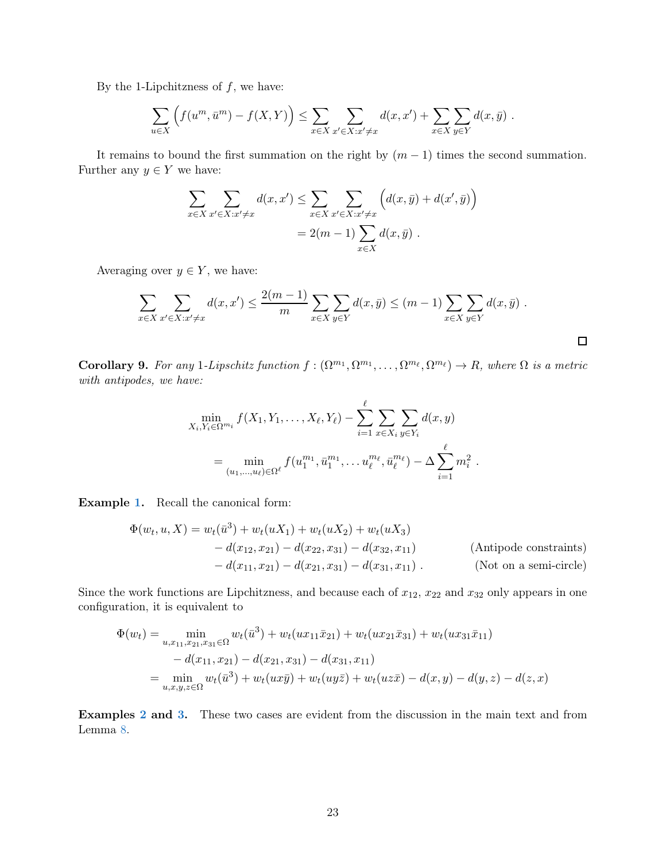By the 1-Lipchitzness of  $f$ , we have:

$$
\sum_{u\in X}\left(f(u^m,\bar{u}^m)-f(X,Y)\right)\leq \sum_{x\in X}\sum_{x'\in X:x'\neq x}d(x,x')+\sum_{x\in X}\sum_{y\in Y}d(x,\bar{y})\;.
$$

It remains to bound the first summation on the right by  $(m-1)$  times the second summation. Further any  $y \in Y$  we have:

$$
\sum_{x \in X} \sum_{x' \in X: x' \neq x} d(x, x') \leq \sum_{x \in X} \sum_{x' \in X: x' \neq x} \left( d(x, \bar{y}) + d(x', \bar{y}) \right)
$$

$$
= 2(m - 1) \sum_{x \in X} d(x, \bar{y}) .
$$

Averaging over  $y \in Y$ , we have:

$$
\sum_{x \in X} \sum_{x' \in X: x' \neq x} d(x, x') \leq \frac{2(m-1)}{m} \sum_{x \in X} \sum_{y \in Y} d(x, \bar{y}) \leq (m-1) \sum_{x \in X} \sum_{y \in Y} d(x, \bar{y}) .
$$

 $\Box$ 

<span id="page-23-0"></span>**Corollary 9.** For any 1-Lipschitz function  $f: (\Omega^{m_1}, \Omega^{m_1}, \dots, \Omega^{m_\ell}, \Omega^{m_\ell}) \to R$ , where  $\Omega$  is a metric with antipodes, we have:

$$
\min_{X_i, Y_i \in \Omega^{m_i}} f(X_1, Y_1, \dots, X_\ell, Y_\ell) - \sum_{i=1}^\ell \sum_{x \in X_i} \sum_{y \in Y_i} d(x, y) \n= \min_{(u_1, \dots, u_\ell) \in \Omega^\ell} f(u_1^{m_1}, \bar{u}_1^{m_1}, \dots, u_\ell^{m_\ell}, \bar{u}_\ell^{m_\ell}) - \Delta \sum_{i=1}^\ell m_i^2.
$$

Example [1.](#page-10-3) Recall the canonical form:

$$
\Phi(w_t, u, X) = w_t(\bar{u}^3) + w_t(uX_1) + w_t(uX_2) + w_t(uX_3)
$$
  
\n
$$
- d(x_{12}, x_{21}) - d(x_{22}, x_{31}) - d(x_{32}, x_{11})
$$
 (Antipode constraints)  
\n
$$
- d(x_{11}, x_{21}) - d(x_{21}, x_{31}) - d(x_{31}, x_{11}).
$$
 (Not on a semi-circle)

Since the work functions are Lipchitzness, and because each of  $x_{12}$ ,  $x_{22}$  and  $x_{32}$  only appears in one configuration, it is equivalent to

$$
\Phi(w_t) = \min_{u, x_{11}, x_{21}, x_{31} \in \Omega} w_t(\bar{u}^3) + w_t(ux_{11}\bar{x}_{21}) + w_t(ux_{21}\bar{x}_{31}) + w_t(ux_{31}\bar{x}_{11})
$$
  
-  $d(x_{11}, x_{21}) - d(x_{21}, x_{31}) - d(x_{31}, x_{11})$   
=  $\min_{u, x, y, z \in \Omega} w_t(\bar{u}^3) + w_t(ux\bar{y}) + w_t(uy\bar{z}) + w_t(uz\bar{x}) - d(x, y) - d(y, z) - d(z, x)$ 

Examples [2](#page-10-1) and [3.](#page-11-0) These two cases are evident from the discussion in the main text and from Lemma [8.](#page-22-0)